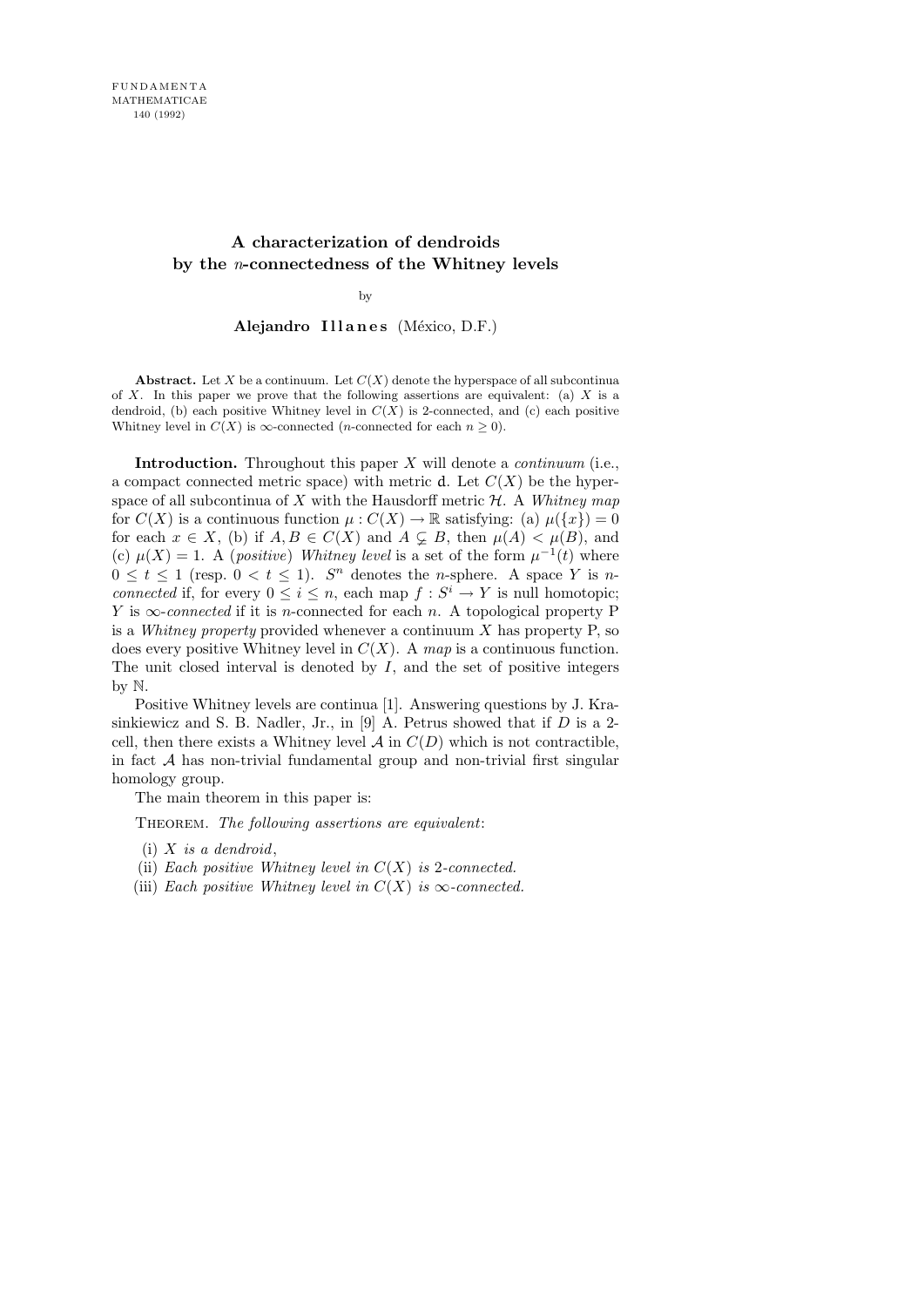# A characterization of dendroids by the n-connectedness of the Whitney levels

## by

Alejandro Illanes (México, D.F.)

Abstract. Let X be a continuum. Let  $C(X)$  denote the hyperspace of all subcontinua of X. In this paper we prove that the following assertions are equivalent: (a)  $X$  is a dendroid, (b) each positive Whitney level in  $C(X)$  is 2-connected, and (c) each positive Whitney level in  $C(X)$  is  $\infty$ -connected (*n*-connected for each  $n \geq 0$ ).

**Introduction.** Throughout this paper  $X$  will denote a *continuum* (i.e., a compact connected metric space) with metric d. Let  $C(X)$  be the hyperspace of all subcontinua of X with the Hausdorff metric  $H$ . A Whitney map for  $C(X)$  is a continuous function  $\mu: C(X) \to \mathbb{R}$  satisfying: (a)  $\mu({x}) = 0$ for each  $x \in X$ , (b) if  $A, B \in C(X)$  and  $A \subsetneq B$ , then  $\mu(A) < \mu(B)$ , and (c)  $\mu(X) = 1$ . A (*positive*) Whitney level is a set of the form  $\mu^{-1}(t)$  where  $0 \leq t \leq 1$  (resp.  $0 \leq t \leq 1$ ).  $S<sup>n</sup>$  denotes the *n*-sphere. A space Y is *n*connected if, for every  $0 \leq i \leq n$ , each map  $f : S^i \to Y$  is null homotopic; Y is  $\infty$ -connected if it is n-connected for each n. A topological property P is a Whitney property provided whenever a continuum  $X$  has property  $P$ , so does every positive Whitney level in  $C(X)$ . A map is a continuous function. The unit closed interval is denoted by  $I$ , and the set of positive integers by N.

Positive Whitney levels are continua [1]. Answering questions by J. Krasinkiewicz and S. B. Nadler, Jr., in [9] A. Petrus showed that if  $D$  is a 2cell, then there exists a Whitney level  $A$  in  $C(D)$  which is not contractible, in fact  $A$  has non-trivial fundamental group and non-trivial first singular homology group.

The main theorem in this paper is:

THEOREM. The following assertions are equivalent:

- (ii) Each positive Whitney level in  $C(X)$  is 2-connected.
- (iii) Each positive Whitney level in  $C(X)$  is  $\infty$ -connected.

 $(i)$  X is a dendroid,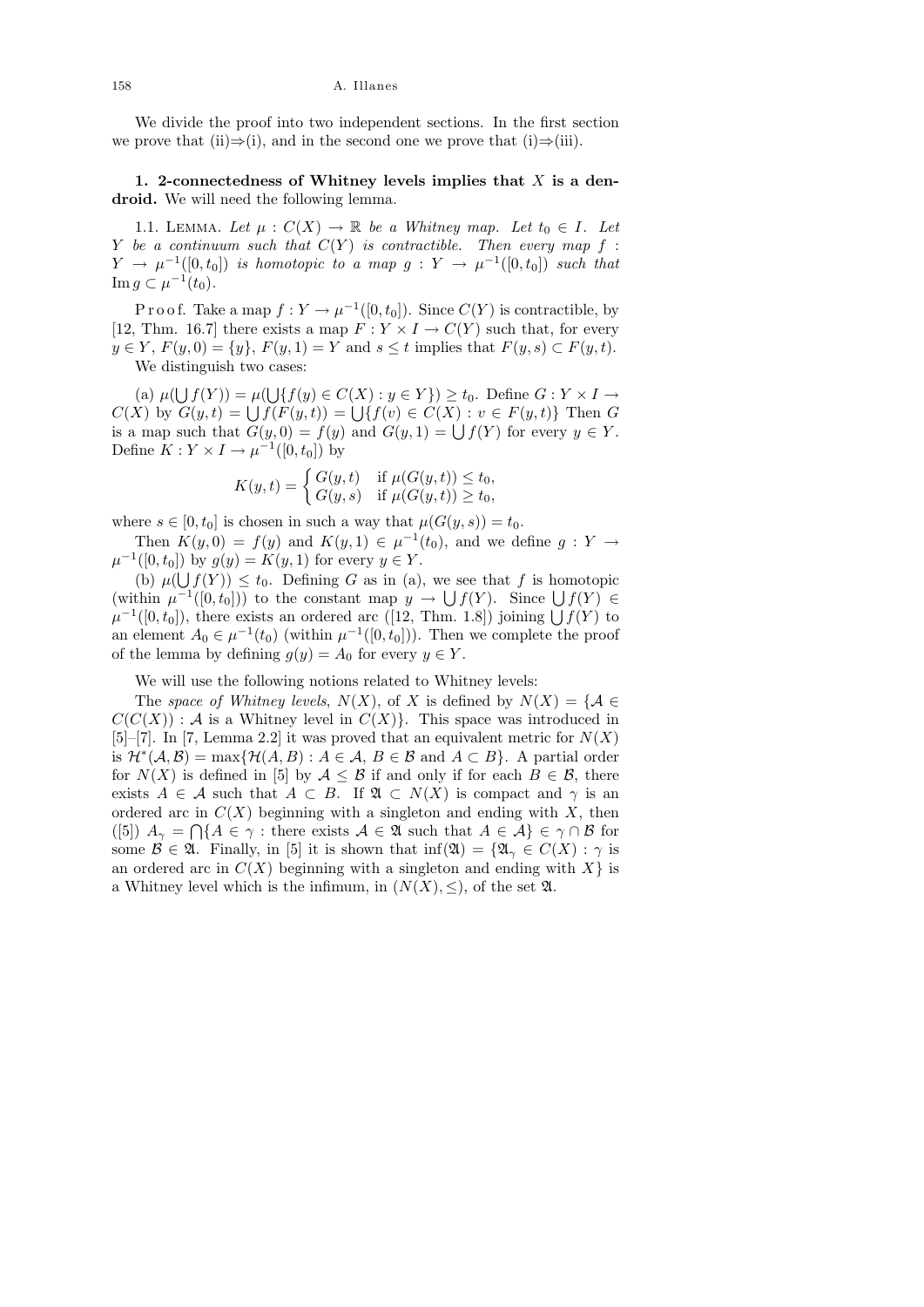We divide the proof into two independent sections. In the first section we prove that (ii)⇒(i), and in the second one we prove that (i)⇒(iii).

1. 2-connectedness of Whitney levels implies that  $X$  is a dendroid. We will need the following lemma.

1.1. LEMMA. Let  $\mu : C(X) \to \mathbb{R}$  be a Whitney map. Let  $t_0 \in I$ . Let Y be a continuum such that  $C(Y)$  is contractible. Then every map f:  $Y \rightarrow \mu^{-1}([0,t_0])$  is homotopic to a map  $g: Y \rightarrow \mu^{-1}([0,t_0])$  such that Im  $g \subset \mu^{-1}(t_0)$ .

P r o o f. Take a map  $f: Y \to \mu^{-1}([0, t_0])$ . Since  $C(Y)$  is contractible, by [12, Thm. 16.7] there exists a map  $F: Y \times I \to C(Y)$  such that, for every  $y \in Y$ ,  $F(y, 0) = \{y\}$ ,  $F(y, 1) = Y$  and  $s \le t$  implies that  $F(y, s) \subset F(y, t)$ . We distinguish two cases:

(a)  $\mu(\bigcup f(Y)) = \mu(\bigcup \{f(y) \in C(X) : y \in Y\}) \ge t_0$ . Define  $G: Y \times I \to Y$  $C(X)$  by  $G(y,t) = \bigcup f(F(y,t)) = \bigcup \{f(v) \in C(X) : v \in F(y,t)\}\$  Then G is a map such that  $G(y, 0) = f(y)$  and  $G(y, 1) = \bigcup f(Y)$  for every  $y \in Y$ . Define  $K: Y \times I \to \mu^{-1}([0, t_0])$  by

$$
K(y,t) = \begin{cases} G(y,t) & \text{if } \mu(G(y,t)) \le t_0, \\ G(y,s) & \text{if } \mu(G(y,t)) \ge t_0, \end{cases}
$$

where  $s \in [0, t_0]$  is chosen in such a way that  $\mu(G(y, s)) = t_0$ .

Then  $K(y, 0) = f(y)$  and  $K(y, 1) \in \mu^{-1}(t_0)$ , and we define  $g: Y \to Y$  $\mu^{-1}([0, t_0])$  by  $g(y) = K(y, 1)$  for every  $y \in Y$ .

(b)  $\mu(\bigcup f(Y)) \leq t_0$ . Defining G as in (a), we see that f is homotopic (within  $\mu^{-1}([0, t_0])$ ) to the constant map  $y \to \bigcup f(Y)$ . Since  $\bigcup f(Y) \in$  $\mu^{-1}([0, t_0])$ , there exists an ordered arc ([12, Thm. 1.8]) joining  $\bigcup f(Y)$  to an element  $A_0 \in \mu^{-1}(t_0)$  (within  $\mu^{-1}([0, t_0])$ ). Then we complete the proof of the lemma by defining  $g(y) = A_0$  for every  $y \in Y$ .

We will use the following notions related to Whitney levels:

The space of Whitney levels,  $N(X)$ , of X is defined by  $N(X) = \{A \in$  $C(C(X))$ : A is a Whitney level in  $C(X)$ . This space was introduced in [5]–[7]. In [7, Lemma 2.2] it was proved that an equivalent metric for  $N(X)$ is  $\mathcal{H}^*(\mathcal{A}, \mathcal{B}) = \max \{ \mathcal{H}(A, B) : A \in \mathcal{A}, B \in \mathcal{B} \text{ and } A \subset B \}.$  A partial order for  $N(X)$  is defined in [5] by  $A \leq B$  if and only if for each  $B \in \mathcal{B}$ , there exists  $A \in \mathcal{A}$  such that  $A \subset B$ . If  $\mathfrak{A} \subset N(X)$  is compact and  $\gamma$  is an ordered arc in  $C(X)$  beginning with a singleton and ending with X, then ([5])  $A_{\gamma} = \bigcap \{A \in \gamma : \text{there exists } A \in \mathfrak{A} \text{ such that } A \in \mathcal{A} \} \in \gamma \cap \mathcal{B} \text{ for }$ some  $\mathcal{B} \in \mathfrak{A}$ . Finally, in [5] it is shown that  $\inf(\mathfrak{A}) = {\mathfrak{A}}_{\gamma} \in C(X)$ :  $\gamma$  is an ordered arc in  $C(X)$  beginning with a singleton and ending with  $X$ } is a Whitney level which is the infimum, in  $(N(X), \leq)$ , of the set  $\mathfrak{A}$ .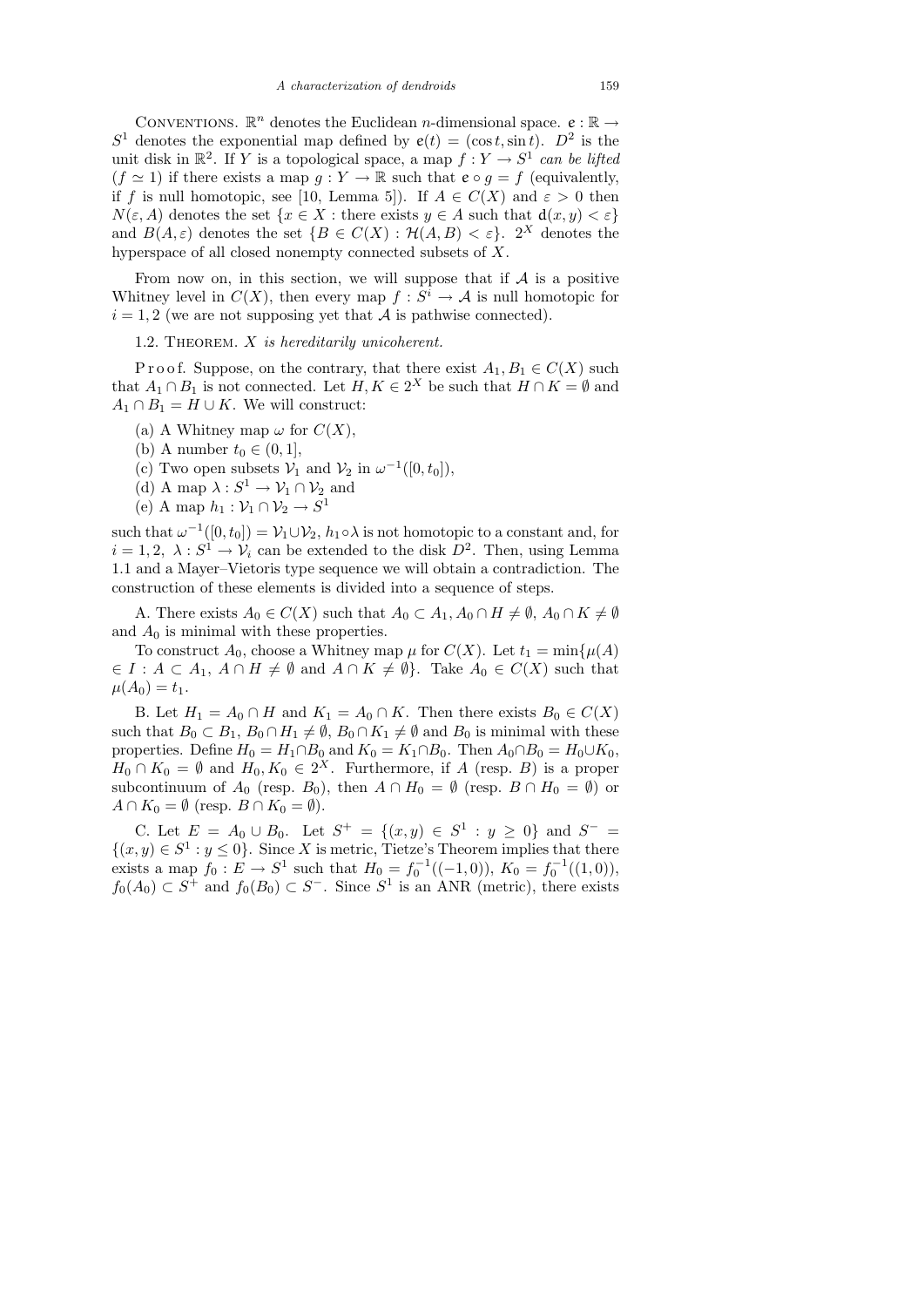CONVENTIONS.  $\mathbb{R}^n$  denotes the Euclidean *n*-dimensional space.  $e : \mathbb{R} \to$  $S<sup>1</sup>$  denotes the exponential map defined by  $e(t) = (\cos t, \sin t)$ .  $D<sup>2</sup>$  is the unit disk in  $\mathbb{R}^2$ . If Y is a topological space, a map  $f: Y \to S^1$  can be lifted  $(f \simeq 1)$  if there exists a map  $g : Y \to \mathbb{R}$  such that  $e \circ g = f$  (equivalently, if f is null homotopic, see [10, Lemma 5]). If  $A \in C(X)$  and  $\varepsilon > 0$  then  $N(\varepsilon, A)$  denotes the set  $\{x \in X : \text{there exists } y \in A \text{ such that } d(x, y) < \varepsilon\}$ and  $B(A, \varepsilon)$  denotes the set  $\{B \in C(X) : \mathcal{H}(A, B) < \varepsilon\}$ . 2<sup>X</sup> denotes the hyperspace of all closed nonempty connected subsets of X.

From now on, in this section, we will suppose that if  $A$  is a positive Whitney level in  $C(X)$ , then every map  $f: S^i \to A$  is null homotopic for  $i = 1, 2$  (we are not supposing yet that A is pathwise connected).

1.2. THEOREM.  $X$  is hereditarily unicoherent.

P r o o f. Suppose, on the contrary, that there exist  $A_1, B_1 \in C(X)$  such that  $A_1 \cap B_1$  is not connected. Let  $H, K \in 2^X$  be such that  $H \cap K = \emptyset$  and  $A_1 \cap B_1 = H \cup K$ . We will construct:

- (a) A Whitney map  $\omega$  for  $C(X)$ ,
- (b) A number  $t_0 \in (0,1],$
- (c) Two open subsets  $V_1$  and  $V_2$  in  $\omega^{-1}([0, t_0]),$
- (d) A map  $\lambda: S^1 \to \mathcal{V}_1 \cap \mathcal{V}_2$  and
- (e) A map  $h_1: \mathcal{V}_1 \cap \mathcal{V}_2 \to S^1$

such that  $\omega^{-1}([0, t_0]) = \mathcal{V}_1 \cup \mathcal{V}_2$ ,  $h_1 \circ \lambda$  is not homotopic to a constant and, for  $i = 1, 2, \lambda : S^1 \to V_i$  can be extended to the disk  $D^2$ . Then, using Lemma 1.1 and a Mayer–Vietoris type sequence we will obtain a contradiction. The construction of these elements is divided into a sequence of steps.

A. There exists  $A_0 \in C(X)$  such that  $A_0 \subset A_1, A_0 \cap H \neq \emptyset$ ,  $A_0 \cap K \neq \emptyset$ and  $A_0$  is minimal with these properties.

To construct  $A_0$ , choose a Whitney map  $\mu$  for  $C(X)$ . Let  $t_1 = \min{\{\mu(A)$  $\in I : A \subset A_1, A \cap H \neq \emptyset$  and  $A \cap K \neq \emptyset$ . Take  $A_0 \in C(X)$  such that  $\mu(A_0) = t_1.$ 

B. Let  $H_1 = A_0 \cap H$  and  $K_1 = A_0 \cap K$ . Then there exists  $B_0 \in C(X)$ such that  $B_0 \subset B_1$ ,  $B_0 \cap H_1 \neq \emptyset$ ,  $B_0 \cap K_1 \neq \emptyset$  and  $B_0$  is minimal with these properties. Define  $H_0 = H_1 \cap B_0$  and  $K_0 = K_1 \cap B_0$ . Then  $A_0 \cap B_0 = H_0 \cup K_0$ ,  $H_0 \cap K_0 = \emptyset$  and  $H_0, K_0 \in 2^X$ . Furthermore, if A (resp. B) is a proper subcontinuum of  $A_0$  (resp.  $B_0$ ), then  $A \cap H_0 = \emptyset$  (resp.  $B \cap H_0 = \emptyset$ ) or  $A \cap K_0 = \emptyset$  (resp.  $B \cap K_0 = \emptyset$ ).

C. Let  $E = A_0 \cup B_0$ . Let  $S^+ = \{(x, y) \in S^1 : y \ge 0\}$  and  $S^- =$  $\{(x, y) \in S^1 : y \leq 0\}$ . Since X is metric, Tietze's Theorem implies that there exists a map  $f_0: E \to S^1$  such that  $H_0 = f_0^{-1}((-1,0)), K_0 = f_0^{-1}((1,0)),$  $f_0(A_0) \subset S^+$  and  $f_0(B_0) \subset S^-$ . Since  $S^1$  is an ANR (metric), there exists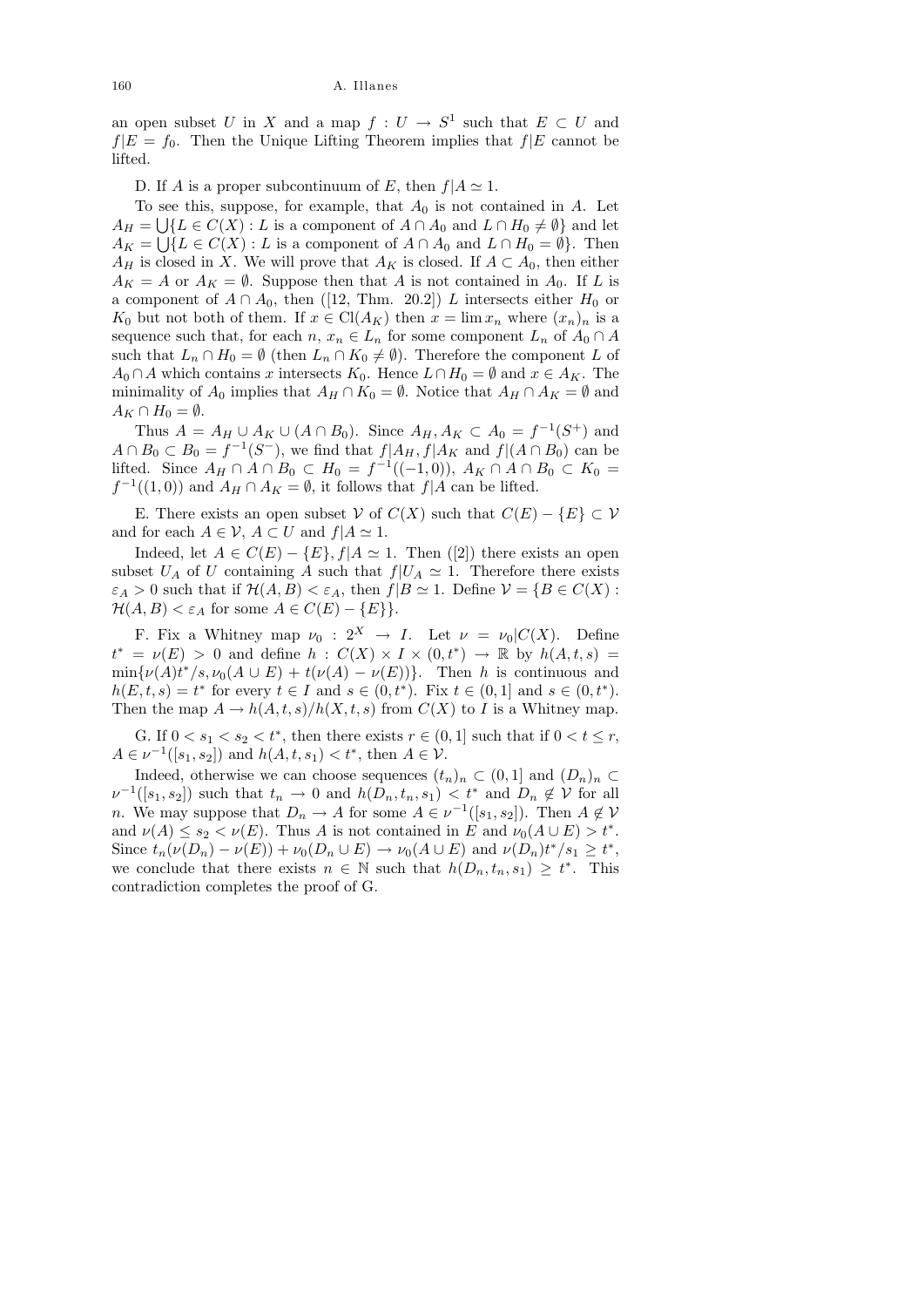an open subset U in X and a map  $f: U \to S^1$  such that  $E \subset U$  and  $f|E = f_0$ . Then the Unique Lifting Theorem implies that  $f|E$  cannot be lifted.

D. If A is a proper subcontinuum of E, then  $f|A \simeq 1$ .

To see this, suppose, for example, that  $A_0$  is not contained in A. Let  $A_H = \bigcup \{ L \in C(X) : L \text{ is a component of } A \cap A_0 \text{ and } L \cap H_0 \neq \emptyset \}$  and let  $A_K = \bigcup \{ L \in C(X) : L \text{ is a component of } A \cap A_0 \text{ and } L \cap H_0 = \emptyset \}.$  Then  $A_H$  is closed in X. We will prove that  $A_K$  is closed. If  $A \subset A_0$ , then either  $A_K = A$  or  $A_K = \emptyset$ . Suppose then that A is not contained in  $A_0$ . If L is a component of  $A \cap A_0$ , then ([12, Thm. 20.2]) L intersects either  $H_0$  or K<sub>0</sub> but not both of them. If  $x \in \text{Cl}(A_K)$  then  $x = \lim x_n$  where  $(x_n)_n$  is a sequence such that, for each  $n, x_n \in L_n$  for some component  $L_n$  of  $A_0 \cap A$ such that  $L_n \cap H_0 = \emptyset$  (then  $L_n \cap K_0 \neq \emptyset$ ). Therefore the component L of  $A_0 \cap A$  which contains x intersects  $K_0$ . Hence  $L \cap H_0 = \emptyset$  and  $x \in A_K$ . The minimality of  $A_0$  implies that  $A_H \cap K_0 = \emptyset$ . Notice that  $A_H \cap A_K = \emptyset$  and  $A_K \cap H_0 = \emptyset.$ 

Thus  $A = A_H \cup A_K \cup (A \cap B_0)$ . Since  $A_H, A_K \subset A_0 = f^{-1}(S^+)$  and  $A \cap B_0 \subset B_0 = f^{-1}(S^-)$ , we find that  $f|A_H, f|A_K$  and  $f|(A \cap B_0)$  can be lifted. Since  $A_H \cap A \cap B_0 \subset H_0 = f^{-1}((-1,0)), A_K \cap A \cap B_0 \subset K_0$  $f^{-1}((1,0))$  and  $A_H \cap A_K = \emptyset$ , it follows that  $f|A$  can be lifted.

E. There exists an open subset V of  $C(X)$  such that  $C(E) - \{E\} \subset V$ and for each  $A \in \mathcal{V}$ ,  $A \subset U$  and  $f | A \simeq 1$ .

Indeed, let  $A \in C(E) - \{E\}, f | A \simeq 1$ . Then ([2]) there exists an open subset  $U_A$  of U containing A such that  $f|U_A \simeq 1$ . Therefore there exists  $\varepsilon_A > 0$  such that if  $\mathcal{H}(A, B) < \varepsilon_A$ , then  $f|B \simeq 1$ . Define  $\mathcal{V} = \{B \in C(X) :$  $\mathcal{H}(A, B) < \varepsilon_A$  for some  $A \in C(E) - \{E\}\}.$ 

F. Fix a Whitney map  $\nu_0: 2^X \to I$ . Let  $\nu = \nu_0 | C(X)$ . Define  $t^* = \nu(E) > 0$  and define  $h : C(X) \times I \times (0,t^*) \to \mathbb{R}$  by  $h(A,t,s) =$  $\min{\nu(A)t^*}{s,\nu_0(A\cup E)} + t(\nu(A) - \nu(E))\}.$  Then h is continuous and  $h(E, t, s) = t^*$  for every  $t \in I$  and  $s \in (0, t^*)$ . Fix  $t \in (0, 1]$  and  $s \in (0, t^*)$ . Then the map  $A \to h(A, t, s)/h(X, t, s)$  from  $C(X)$  to I is a Whitney map.

G. If  $0 < s_1 < s_2 < t^*$ , then there exists  $r \in (0, 1]$  such that if  $0 < t \leq r$ ,  $A \in \nu^{-1}([s_1, s_2])$  and  $h(A, t, s_1) < t^*$ , then  $A \in \mathcal{V}$ .

Indeed, otherwise we can choose sequences  $(t_n)_n \subset (0,1]$  and  $(D_n)_n \subset$  $\nu^{-1}([s_1, s_2])$  such that  $t_n \to 0$  and  $h(D_n, t_n, s_1) < t^*$  and  $D_n \notin V$  for all *n*. We may suppose that  $D_n \to A$  for some  $A \in \nu^{-1}([s_1, s_2])$ . Then  $A \notin \mathcal{V}$ and  $\nu(A) \leq s_2 < \nu(E)$ . Thus A is not contained in E and  $\nu_0(A \cup E) > t^*$ . Since  $t_n(\nu(D_n) - \nu(E)) + \nu_0(D_n \cup E) \to \nu_0(A \cup E)$  and  $\nu(D_n)t^*/s_1 \ge t^*$ , we conclude that there exists  $n \in \mathbb{N}$  such that  $h(D_n, t_n, s_1) \geq t^*$ . This contradiction completes the proof of G.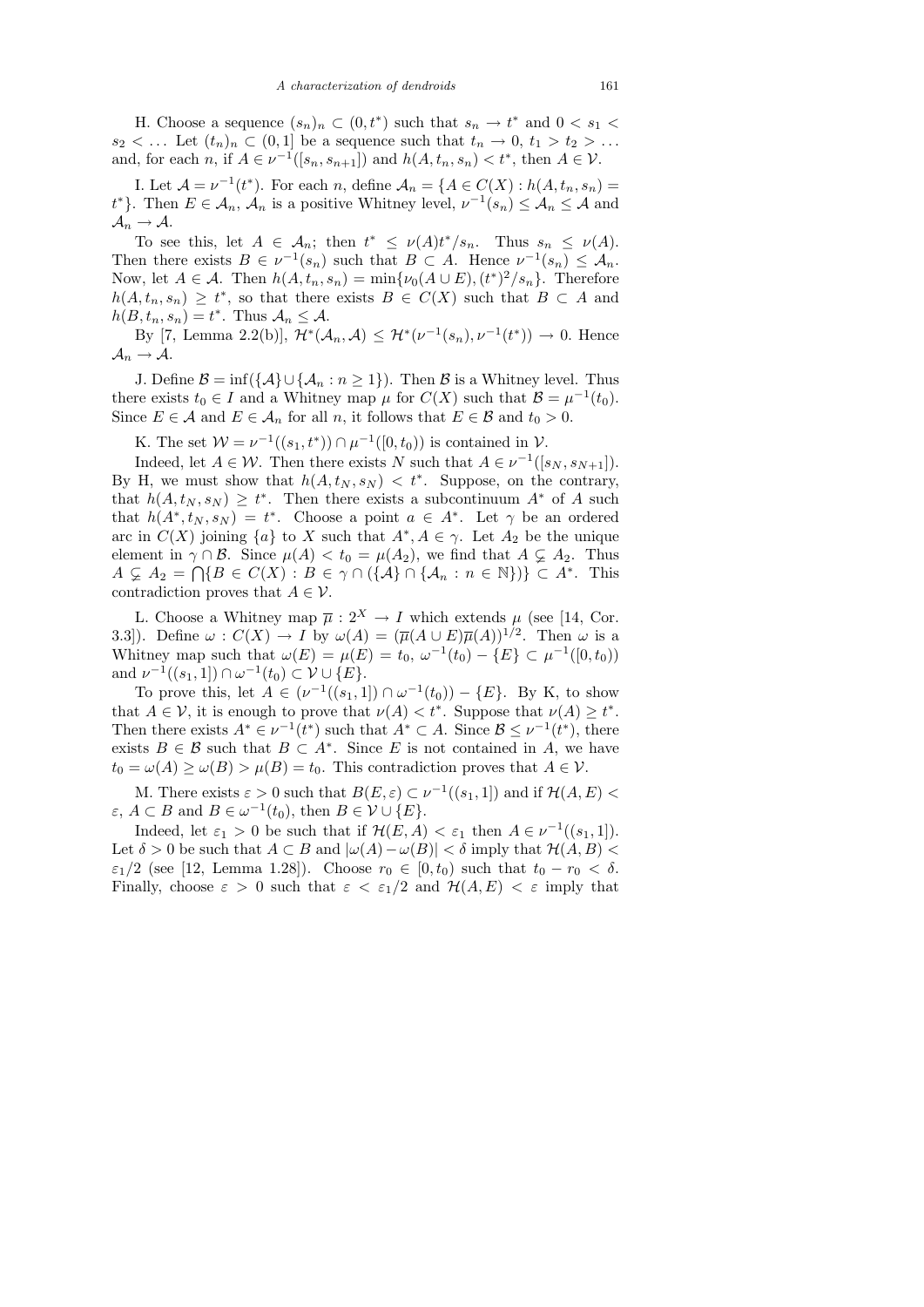H. Choose a sequence  $(s_n)_n \subset (0, t^*)$  such that  $s_n \to t^*$  and  $0 < s_1 <$  $s_2 < \dots$  Let  $(t_n)_n \subset (0,1]$  be a sequence such that  $t_n \to 0, t_1 > t_2 > \dots$ and, for each n, if  $A \in \nu^{-1}([s_n, s_{n+1}])$  and  $h(A, t_n, s_n) < t^*$ , then  $A \in \mathcal{V}$ .

I. Let  $\mathcal{A} = \nu^{-1}(t^*)$ . For each n, define  $\mathcal{A}_n = \{A \in C(X) : h(A, t_n, s_n) =$  $t^*$ }. Then  $E \in \mathcal{A}_n$ ,  $\mathcal{A}_n$  is a positive Whitney level,  $\nu^{-1}(s_n) \leq \mathcal{A}_n \leq \mathcal{A}$  and  $\mathcal{A}_n \to \mathcal{A}.$ 

To see this, let  $A \in \mathcal{A}_n$ ; then  $t^* \le \nu(A)t^*/s_n$ . Thus  $s_n \le \nu(A)$ . Then there exists  $B \in \nu^{-1}(s_n)$  such that  $B \subset A$ . Hence  $\nu^{-1}(s_n) \leq A_n$ . Now, let  $A \in \mathcal{A}$ . Then  $h(A, t_n, s_n) = \min{\{\nu_0(A \cup E), (t^*)^2/s_n\}}$ . Therefore  $h(A, t_n, s_n) \geq t^*$ , so that there exists  $B \in C(X)$  such that  $B \subset A$  and  $h(B, t_n, s_n) = t^*$ . Thus  $\mathcal{A}_n \leq \mathcal{A}$ .

By [7, Lemma 2.2(b)],  $\mathcal{H}^*(\mathcal{A}_n, \mathcal{A}) \leq \mathcal{H}^*(\nu^{-1}(s_n), \nu^{-1}(t^*)) \to 0$ . Hence  $\mathcal{A}_n \to \mathcal{A}.$ 

J. Define  $\mathcal{B} = \inf(\{\mathcal{A}\}\cup\{\mathcal{A}_n : n \geq 1\})$ . Then  $\mathcal{B}$  is a Whitney level. Thus there exists  $t_0 \in I$  and a Whitney map  $\mu$  for  $C(X)$  such that  $\mathcal{B} = \mu^{-1}(t_0)$ . Since  $E \in \mathcal{A}$  and  $E \in \mathcal{A}_n$  for all n, it follows that  $E \in \mathcal{B}$  and  $t_0 > 0$ .

K. The set  $W = \nu^{-1}((s_1, t^*)) \cap \mu^{-1}([0, t_0))$  is contained in  $V$ .

Indeed, let  $A \in \mathcal{W}$ . Then there exists N such that  $A \in \nu^{-1}([s_N, s_{N+1}])$ . By H, we must show that  $h(A, t_N, s_N) < t^*$ . Suppose, on the contrary, that  $h(A, t_N, s_N) \geq t^*$ . Then there exists a subcontinuum  $A^*$  of A such that  $h(A^*, t_N, s_N) = t^*$ . Choose a point  $a \in A^*$ . Let  $\gamma$  be an ordered arc in  $C(X)$  joining  $\{a\}$  to X such that  $A^*, A \in \gamma$ . Let  $A_2$  be the unique element in  $\gamma \cap \mathcal{B}$ . Since  $\mu(A) < t_0 = \mu(A_2)$ , we find that  $A \subsetneq A_2$ . Thus  $A \subsetneq A_2 = \bigcap \{B \in C(X) : B \in \gamma \cap (\{\mathcal{A}\} \cap \{\mathcal{A}_n : n \in \mathbb{N}\})\} \subset A^*$ . This contradiction proves that  $A \in \mathcal{V}$ .

L. Choose a Whitney map  $\overline{\mu}: 2^X \to I$  which extends  $\mu$  (see [14, Cor. 3.3]). Define  $\omega: C(X) \to I$  by  $\omega(A) = (\overline{\mu}(A \cup E)\overline{\mu}(A))^{1/2}$ . Then  $\omega$  is a Whitney map such that  $\omega(E) = \mu(E) = t_0, \ \omega^{-1}(t_0) - \{E\} \subset \mu^{-1}([0, t_0))$ and  $\nu^{-1}((s_1, 1]) \cap \omega^{-1}(t_0) \subset \mathcal{V} \cup \{E\}.$ 

To prove this, let  $A \in (\nu^{-1}((s_1, 1]) \cap \omega^{-1}(t_0)) - \{E\}$ . By K, to show that  $A \in V$ , it is enough to prove that  $\nu(A) < t^*$ . Suppose that  $\nu(A) \geq t^*$ . Then there exists  $A^* \in \nu^{-1}(t^*)$  such that  $A^* \subset A$ . Since  $\mathcal{B} \leq \nu^{-1}(t^*)$ , there exists  $B \in \mathcal{B}$  such that  $B \subset A^*$ . Since E is not contained in A, we have  $t_0 = \omega(A) \ge \omega(B) > \mu(B) = t_0$ . This contradiction proves that  $A \in \mathcal{V}$ .

M. There exists  $\varepsilon > 0$  such that  $B(E, \varepsilon) \subset \nu^{-1}((s_1, 1])$  and if  $\mathcal{H}(A, E)$  $\varepsilon, A \subset B$  and  $B \in \omega^{-1}(t_0)$ , then  $B \in \mathcal{V} \cup \{E\}.$ 

Indeed, let  $\varepsilon_1 > 0$  be such that if  $\mathcal{H}(E, A) < \varepsilon_1$  then  $A \in \nu^{-1}((s_1, 1]).$ Let  $\delta > 0$  be such that  $A \subset B$  and  $|\omega(A) - \omega(B)| < \delta$  imply that  $\mathcal{H}(A, B) < \delta$  $\varepsilon_1/2$  (see [12, Lemma 1.28]). Choose  $r_0 \in [0, t_0)$  such that  $t_0 - r_0 < \delta$ . Finally, choose  $\varepsilon > 0$  such that  $\varepsilon < \varepsilon_1/2$  and  $\mathcal{H}(A, E) < \varepsilon$  imply that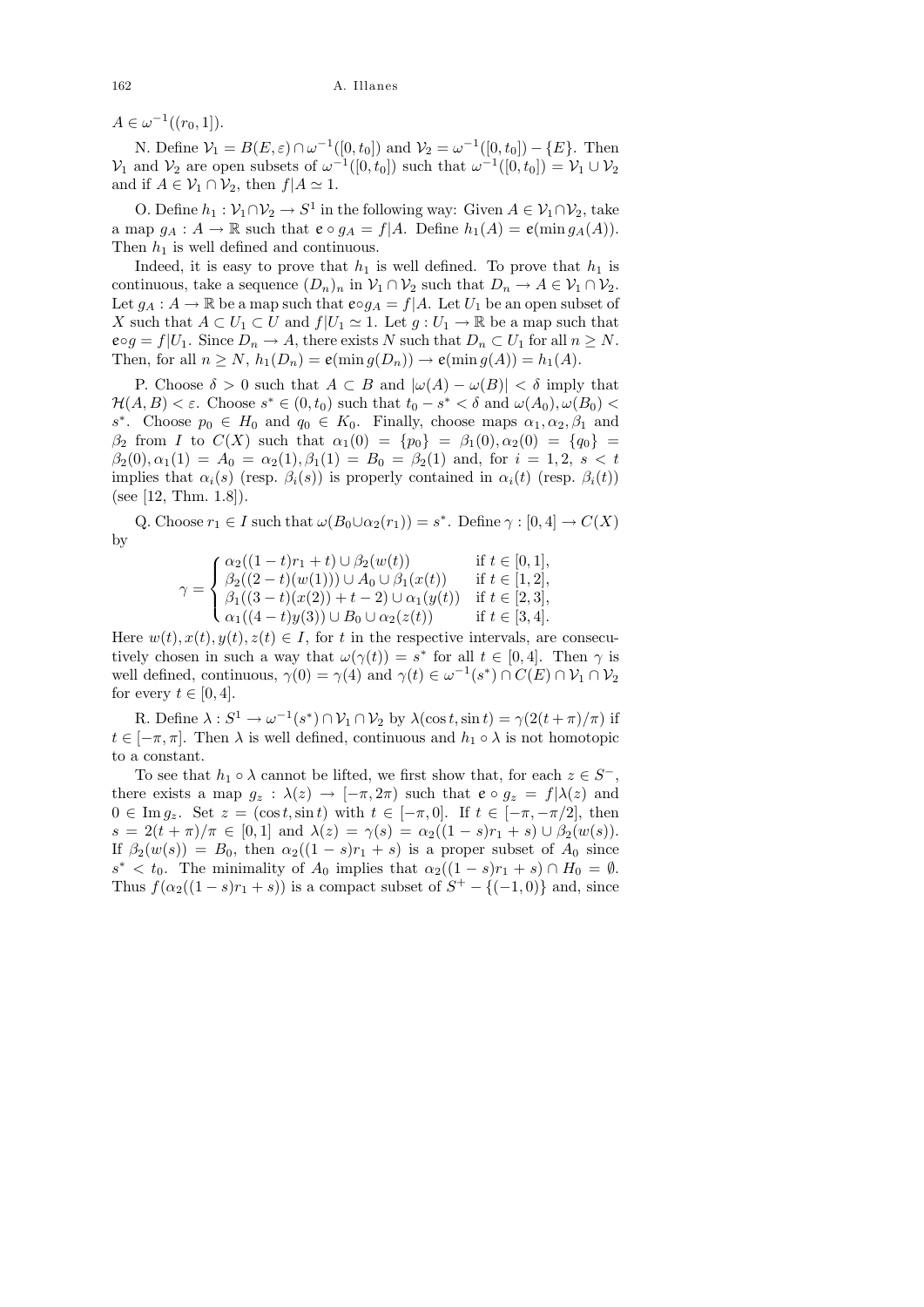$A \in \omega^{-1}((r_0, 1]).$ 

N. Define  $V_1 = B(E, \varepsilon) \cap \omega^{-1}([0, t_0])$  and  $V_2 = \omega^{-1}([0, t_0]) - \{E\}$ . Then  $\mathcal{V}_1$  and  $\mathcal{V}_2$  are open subsets of  $\omega^{-1}([0, t_0])$  such that  $\omega^{-1}([0, t_0]) = \mathcal{V}_1 \cup \mathcal{V}_2$ and if  $A \in \mathcal{V}_1 \cap \mathcal{V}_2$ , then  $f | A \simeq 1$ .

O. Define  $h_1 : \mathcal{V}_1 \cap \mathcal{V}_2 \to S^1$  in the following way: Given  $A \in \mathcal{V}_1 \cap \mathcal{V}_2$ , take a map  $g_A : A \to \mathbb{R}$  such that  $e \circ g_A = f | A$ . Define  $h_1(A) = e(\min g_A(A)).$ Then  $h_1$  is well defined and continuous.

Indeed, it is easy to prove that  $h_1$  is well defined. To prove that  $h_1$  is continuous, take a sequence  $(D_n)_n$  in  $\mathcal{V}_1 \cap \mathcal{V}_2$  such that  $D_n \to A \in \mathcal{V}_1 \cap \mathcal{V}_2$ . Let  $g_A: A \to \mathbb{R}$  be a map such that  $e \circ g_A = f | A$ . Let  $U_1$  be an open subset of X such that  $A \subset U_1 \subset U$  and  $f|U_1 \simeq 1$ . Let  $g: U_1 \to \mathbb{R}$  be a map such that  $e \circ g = f|U_1$ . Since  $D_n \to A$ , there exists N such that  $D_n \subset U_1$  for all  $n \geq N$ . Then, for all  $n \geq N$ ,  $h_1(D_n) = e(\min g(D_n)) \rightarrow e(\min g(A)) = h_1(A)$ .

P. Choose  $\delta > 0$  such that  $A \subset B$  and  $|\omega(A) - \omega(B)| < \delta$  imply that  $\mathcal{H}(A, B) < \varepsilon$ . Choose  $s^* \in (0, t_0)$  such that  $t_0 - s^* < \delta$  and  $\omega(A_0), \omega(B_0) <$ s<sup>\*</sup>. Choose  $p_0 \in H_0$  and  $q_0 \in K_0$ . Finally, choose maps  $\alpha_1, \alpha_2, \beta_1$  and  $\beta_2$  from I to  $C(X)$  such that  $\alpha_1(0) = \{p_0\} = \beta_1(0), \alpha_2(0) = \{q_0\}$  $\beta_2(0), \alpha_1(1) = A_0 = \alpha_2(1), \beta_1(1) = B_0 = \beta_2(1)$  and, for  $i = 1, 2, s < t$ implies that  $\alpha_i(s)$  (resp.  $\beta_i(s)$ ) is properly contained in  $\alpha_i(t)$  (resp.  $\beta_i(t)$ ) (see [12, Thm. 1.8]).

Q. Choose  $r_1 \in I$  such that  $\omega(B_0 \cup \alpha_2(r_1)) = s^*$ . Define  $\gamma : [0, 4] \to C(X)$ by

$$
\gamma = \begin{cases} \alpha_2((1-t)r_1 + t) \cup \beta_2(w(t)) & \text{if } t \in [0, 1], \\ \beta_2((2-t)(w(1))) \cup A_0 \cup \beta_1(x(t)) & \text{if } t \in [1, 2], \\ \beta_1((3-t)(x(2)) + t - 2) \cup \alpha_1(y(t)) & \text{if } t \in [2, 3], \\ \alpha_1((4-t)y(3)) \cup B_0 \cup \alpha_2(z(t)) & \text{if } t \in [3, 4]. \end{cases}
$$

Here  $w(t), x(t), y(t), z(t) \in I$ , for t in the respective intervals, are consecutively chosen in such a way that  $\omega(\gamma(t)) = s^*$  for all  $t \in [0, 4]$ . Then  $\gamma$  is well defined, continuous,  $\gamma(0) = \gamma(4)$  and  $\gamma(t) \in \omega^{-1}(s^*) \cap C(E) \cap \mathcal{V}_1 \cap \mathcal{V}_2$ for every  $t \in [0, 4]$ .

R. Define  $\lambda: S^1 \to \omega^{-1}(s^*) \cap \mathcal{V}_1 \cap \mathcal{V}_2$  by  $\lambda(\cos t, \sin t) = \gamma(2(t+\pi)/\pi)$  if  $t \in [-\pi, \pi]$ . Then  $\lambda$  is well defined, continuous and  $h_1 \circ \lambda$  is not homotopic to a constant.

To see that  $h_1 \circ \lambda$  cannot be lifted, we first show that, for each  $z \in S^-$ , there exists a map  $g_z : \lambda(z) \to [-\pi, 2\pi)$  such that  $e \circ g_z = f(\lambda(z))$  and  $0 \in \text{Im } g_z$ . Set  $z = (\cos t, \sin t)$  with  $t \in [-\pi, 0]$ . If  $t \in [-\pi, -\pi/2]$ , then  $s = 2(t + \pi)/\pi \in [0,1]$  and  $\lambda(z) = \gamma(s) = \alpha_2((1-s)r_1 + s) \cup \beta_2(w(s)).$ If  $\beta_2(w(s)) = B_0$ , then  $\alpha_2((1-s)r_1 + s)$  is a proper subset of  $A_0$  since  $s^* < t_0$ . The minimality of  $A_0$  implies that  $\alpha_2((1-s)r_1 + s) \cap H_0 = \emptyset$ . Thus  $f(\alpha_2((1-s)r_1+s))$  is a compact subset of  $S^+ - \{(-1,0)\}\)$  and, since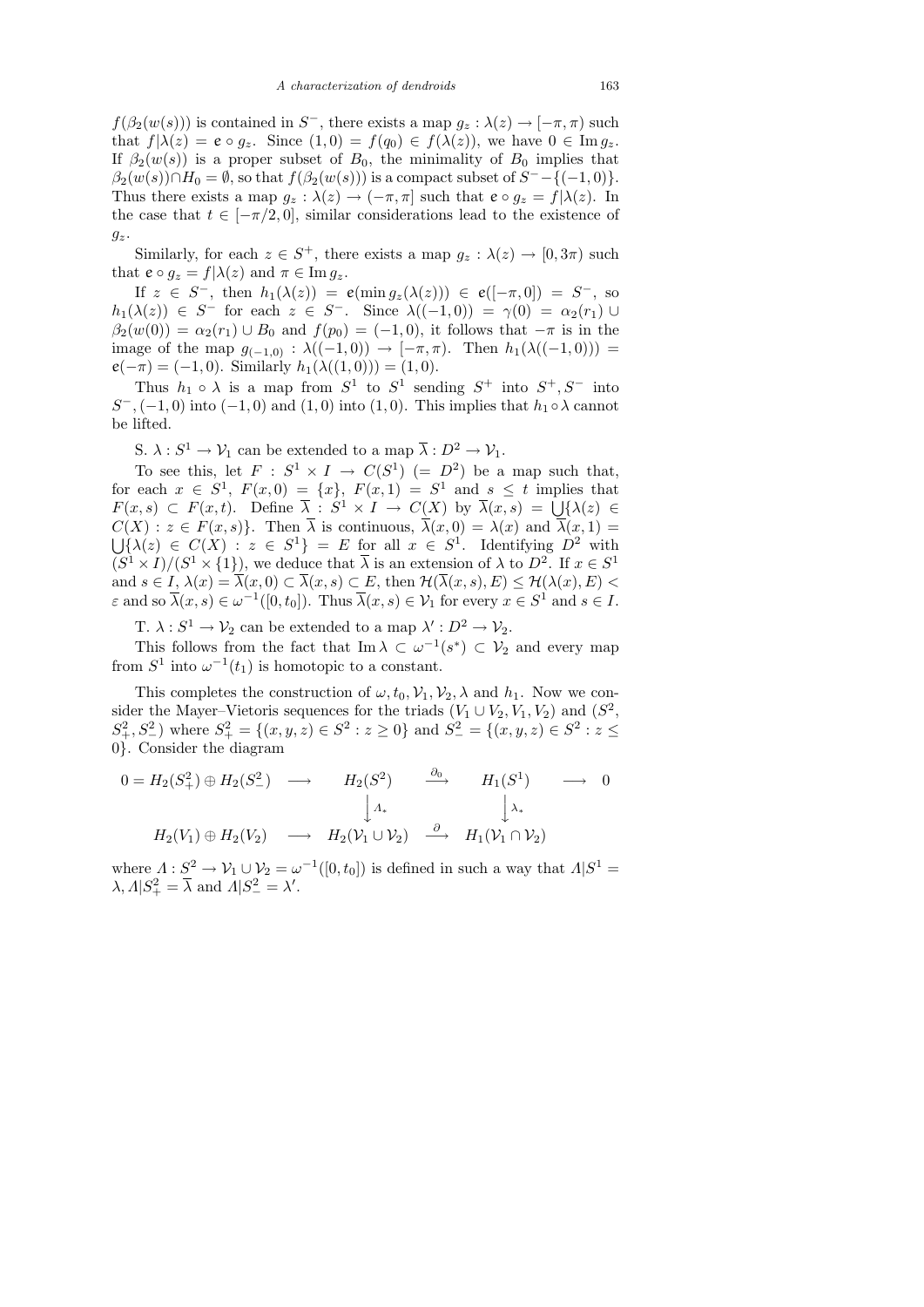$f(\beta_2(w(s)))$  is contained in S<sup>-</sup>, there exists a map  $g_z : \lambda(z) \to [-\pi, \pi)$  such that  $f|\lambda(z) = e \circ g_z$ . Since  $(1,0) = f(q_0) \in f(\lambda(z))$ , we have  $0 \in \text{Im } g_z$ . If  $\beta_2(w(s))$  is a proper subset of  $B_0$ , the minimality of  $B_0$  implies that  $\beta_2(w(s)) \cap H_0 = \emptyset$ , so that  $f(\beta_2(w(s)))$  is a compact subset of  $S^- - \{(-1,0)\}.$ Thus there exists a map  $g_z : \lambda(z) \to (-\pi, \pi]$  such that  $e \circ g_z = f(\lambda(z))$ . In the case that  $t \in [-\pi/2, 0]$ , similar considerations lead to the existence of  $g_z$ .

Similarly, for each  $z \in S^+$ , there exists a map  $g_z : \lambda(z) \to [0, 3\pi)$  such that  $e \circ g_z = f | \lambda(z)$  and  $\pi \in \text{Im } g_z$ .

If  $z \in S^-$ , then  $h_1(\lambda(z)) = e(\min g_z(\lambda(z))) \in e([-\pi,0]) = S^-$ , so  $h_1(\lambda(z)) \in S^-$  for each  $z \in S^-$ . Since  $\lambda((-1,0)) = \gamma(0) = \alpha_2(r_1) \cup$  $\beta_2(w(0)) = \alpha_2(r_1) \cup B_0$  and  $f(p_0) = (-1, 0)$ , it follows that  $-\pi$  is in the image of the map  $g_{(-1,0)} : \lambda((-1,0)) \to [-\pi,\pi)$ . Then  $h_1(\lambda((-1,0))) =$  $e(-\pi) = (-1, 0)$ . Similarly  $h_1(\lambda((1, 0))) = (1, 0)$ .

Thus  $h_1 \circ \lambda$  is a map from  $S^1$  to  $S^1$  sending  $S^+$  into  $S^+, S^-$  into  $S^{-}$ , (-1, 0) into (-1, 0) and (1, 0) into (1, 0). This implies that  $h_1 \circ \lambda$  cannot be lifted.

S.  $\lambda: S^1 \to \mathcal{V}_1$  can be extended to a map  $\overline{\lambda}: D^2 \to \mathcal{V}_1$ .

To see this, let  $F : S^1 \times I \to C(S^1) (= D^2)$  be a map such that, for each  $x \in S^1$ ,  $F(x, 0) = \{x\}$ ,  $F(x, 1) = S^1$  and  $s \le t$  implies that  $F(x,s) \subset F(x,t)$ . Define  $\overline{\lambda}: S^1 \times I \to C(X)$  by  $\overline{\lambda}(x,s) = \bigcup \{ \lambda(z) \in$  $C(X): z \in F(x, s)$ . Then  $\lambda$  is continuous,  $\lambda(x, 0) = \lambda(x)$  and  $\lambda(x, 1) =$  $\bigcup \{\lambda(z) \in C(X) : z \in S^1\} = E$  for all  $x \in S^1$ . Identifying  $D^2$  with  $(S^1 \times I)/(S^1 \times \{1\}),$  we deduce that  $\overline{\lambda}$  is an extension of  $\lambda$  to  $D^2$ . If  $x \in S^1$ and  $s \in I$ ,  $\lambda(x) = \overline{\lambda}(x, 0) \subset \overline{\lambda}(x, s) \subset E$ , then  $\mathcal{H}(\overline{\lambda}(x, s), E) \leq \mathcal{H}(\lambda(x), E)$  $\varepsilon$  and so  $\overline{\lambda}(x,s) \in \omega^{-1}([0,t_0])$ . Thus  $\overline{\lambda}(x,s) \in \mathcal{V}_1$  for every  $x \in S^1$  and  $s \in I$ .

T.  $\lambda: S^1 \to V_2$  can be extended to a map  $\lambda': D^2 \to V_2$ .

This follows from the fact that  $\text{Im }\lambda \subset \omega^{-1}(s^*) \subset \mathcal{V}_2$  and every map from  $S^1$  into  $\omega^{-1}(t_1)$  is homotopic to a constant.

This completes the construction of  $\omega$ ,  $t_0$ ,  $\mathcal{V}_1$ ,  $\mathcal{V}_2$ ,  $\lambda$  and  $h_1$ . Now we consider the Mayer–Vietoris sequences for the triads  $(V_1 \cup V_2, V_1, V_2)$  and  $(S^2, V_1, V_2)$  $S_+^2, S_-^2$ ) where  $S_+^2 = \{(x, y, z) \in S^2 : z \ge 0\}$  and  $S_-^2 = \{(x, y, z) \in S^2 : z \le 0\}$ 0}. Consider the diagram

$$
0 = H_2(S_+^2) \oplus H_2(S_-^2) \longrightarrow H_2(S^2) \xrightarrow{\partial_0} H_1(S^1) \longrightarrow 0
$$
  

$$
\downarrow \Lambda_*
$$
  

$$
H_2(V_1) \oplus H_2(V_2) \longrightarrow H_2(V_1 \cup V_2) \xrightarrow{\partial} H_1(V_1 \cap V_2)
$$

where  $\Lambda: S^2 \to V_1 \cup V_2 = \omega^{-1}([0, t_0])$  is defined in such a way that  $\Lambda | S^1 =$  $\lambda, \Lambda | S_+^2 = \overline{\lambda}$  and  $\Lambda | S_-^2 = \lambda'$ .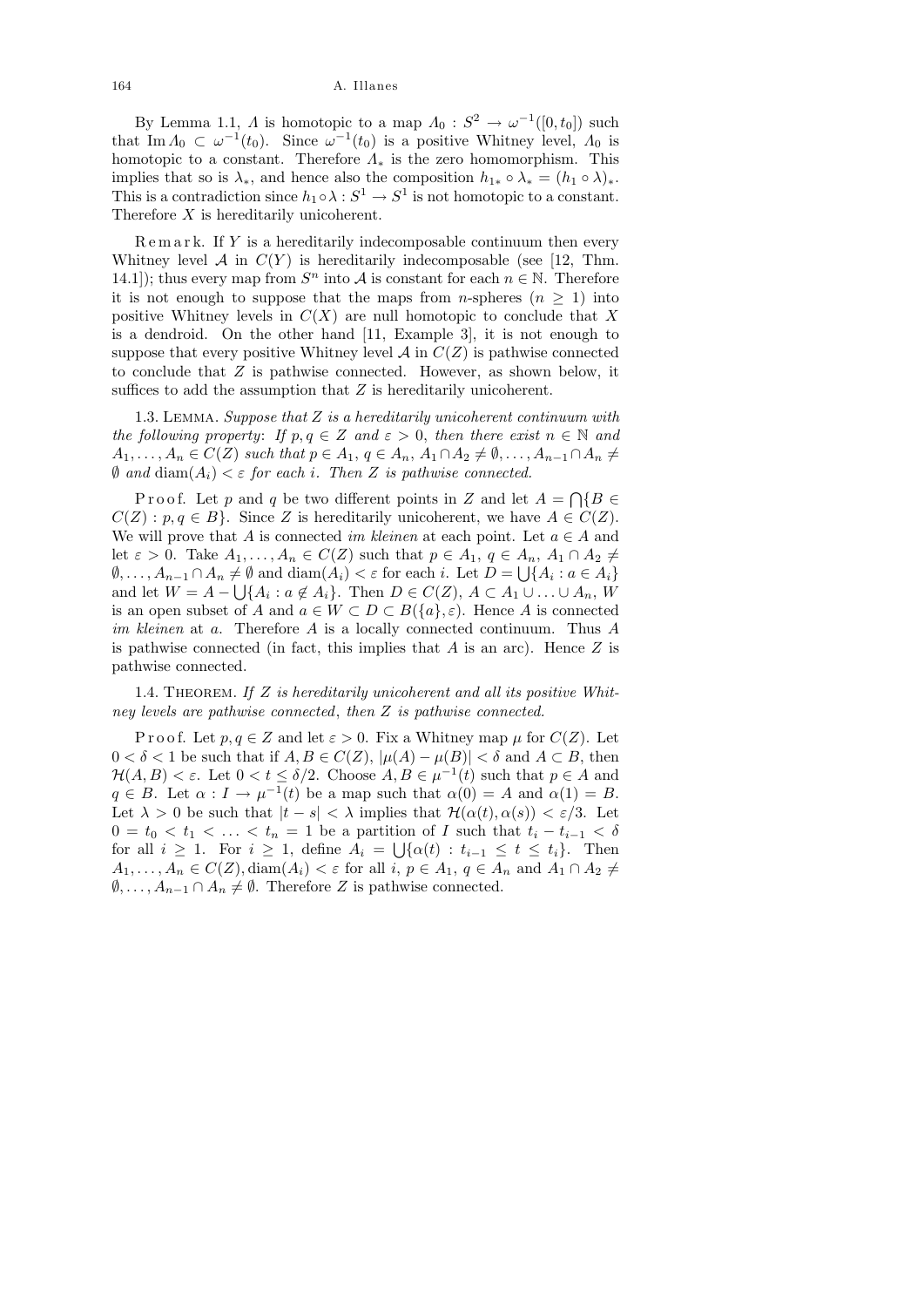By Lemma 1.1,  $\Lambda$  is homotopic to a map  $\Lambda_0: S^2 \to \omega^{-1}([0, t_0])$  such that Im  $\Lambda_0 \subset \omega^{-1}(t_0)$ . Since  $\omega^{-1}(t_0)$  is a positive Whitney level,  $\Lambda_0$  is homotopic to a constant. Therefore  $\Lambda_*$  is the zero homomorphism. This implies that so is  $\lambda_*$ , and hence also the composition  $h_{1*} \circ \lambda_* = (h_1 \circ \lambda)_*.$ This is a contradiction since  $h_1 \circ \lambda : S^1 \to S^1$  is not homotopic to a constant. Therefore X is hereditarily unicoherent.

 $R$ e m a r k. If Y is a hereditarily indecomposable continuum then every Whitney level  $A$  in  $C(Y)$  is hereditarily indecomposable (see [12, Thm. 14.1); thus every map from  $S<sup>n</sup>$  into A is constant for each  $n \in \mathbb{N}$ . Therefore it is not enough to suppose that the maps from *n*-spheres  $(n \geq 1)$  into positive Whitney levels in  $C(X)$  are null homotopic to conclude that X is a dendroid. On the other hand [11, Example 3], it is not enough to suppose that every positive Whitney level  $A$  in  $C(Z)$  is pathwise connected to conclude that Z is pathwise connected. However, as shown below, it suffices to add the assumption that  $Z$  is hereditarily unicoherent.

1.3. LEMMA. Suppose that  $Z$  is a hereditarily unicoherent continuum with the following property: If  $p, q \in \mathbb{Z}$  and  $\varepsilon > 0$ , then there exist  $n \in \mathbb{N}$  and  $A_1, \ldots, A_n \in C(Z)$  such that  $p \in A_1, q \in A_n, A_1 \cap A_2 \neq \emptyset, \ldots, A_{n-1} \cap A_n \neq \emptyset$  $\emptyset$  and  $\text{diam}(A_i) < \varepsilon$  for each i. Then Z is pathwise connected.

Proof. Let p and q be two different points in Z and let  $A = \bigcap \{B \in$  $C(Z) : p, q \in B$ . Since Z is hereditarily unicoherent, we have  $A \in C(Z)$ . We will prove that A is connected im kleinen at each point. Let  $a \in A$  and let  $\varepsilon > 0$ . Take  $A_1, \ldots, A_n \in C(Z)$  such that  $p \in A_1, q \in A_n, A_1 \cap A_2 \neq \emptyset$  $\emptyset, \ldots, A_{n-1} \cap A_n \neq \emptyset$  and  $\text{diam}(A_i) < \varepsilon$  for each i. Let  $D = \bigcup \{A_i : a \in A_i\}$ and let  $W = A - \bigcup \{A_i : a \notin A_i\}$ . Then  $D \in C(Z)$ ,  $A \subset A_1 \cup ... \cup A_n$ , W is an open subset of A and  $a \in W \subset D \subset B({a}, \varepsilon)$ . Hence A is connected im kleinen at a. Therefore A is a locally connected continuum. Thus A is pathwise connected (in fact, this implies that  $A$  is an arc). Hence  $Z$  is pathwise connected.

1.4. THEOREM. If  $Z$  is hereditarily unicoherent and all its positive Whitney levels are pathwise connected, then Z is pathwise connected.

P r o o f. Let  $p, q \in \mathbb{Z}$  and let  $\varepsilon > 0$ . Fix a Whitney map  $\mu$  for  $C(\mathbb{Z})$ . Let  $0 < \delta < 1$  be such that if  $A, B \in C(Z)$ ,  $|\mu(A) - \mu(B)| < \delta$  and  $A \subset B$ , then  $\mathcal{H}(A, B) < \varepsilon$ . Let  $0 < t \leq \delta/2$ . Choose  $A, B \in \mu^{-1}(t)$  such that  $p \in A$  and  $q \in B$ . Let  $\alpha : I \to \mu^{-1}(t)$  be a map such that  $\alpha(0) = A$  and  $\alpha(1) = B$ . Let  $\lambda > 0$  be such that  $|t - s| < \lambda$  implies that  $\mathcal{H}(\alpha(t), \alpha(s)) < \varepsilon/3$ . Let  $0 = t_0 < t_1 < \ldots < t_n = 1$  be a partition of I such that  $t_i - t_{i-1} < \delta$ for all  $i \geq 1$ . For  $i \geq 1$ , define  $A_i = \bigcup \{ \alpha(t) : t_{i-1} \leq t \leq t_i \}$ . Then  $A_1, \ldots, A_n \in C(Z)$ , diam $(A_i) < \varepsilon$  for all  $i, p \in A_1, q \in A_n$  and  $A_1 \cap A_2 \neq \varepsilon$  $\emptyset, \ldots, A_{n-1} \cap A_n \neq \emptyset$ . Therefore Z is pathwise connected.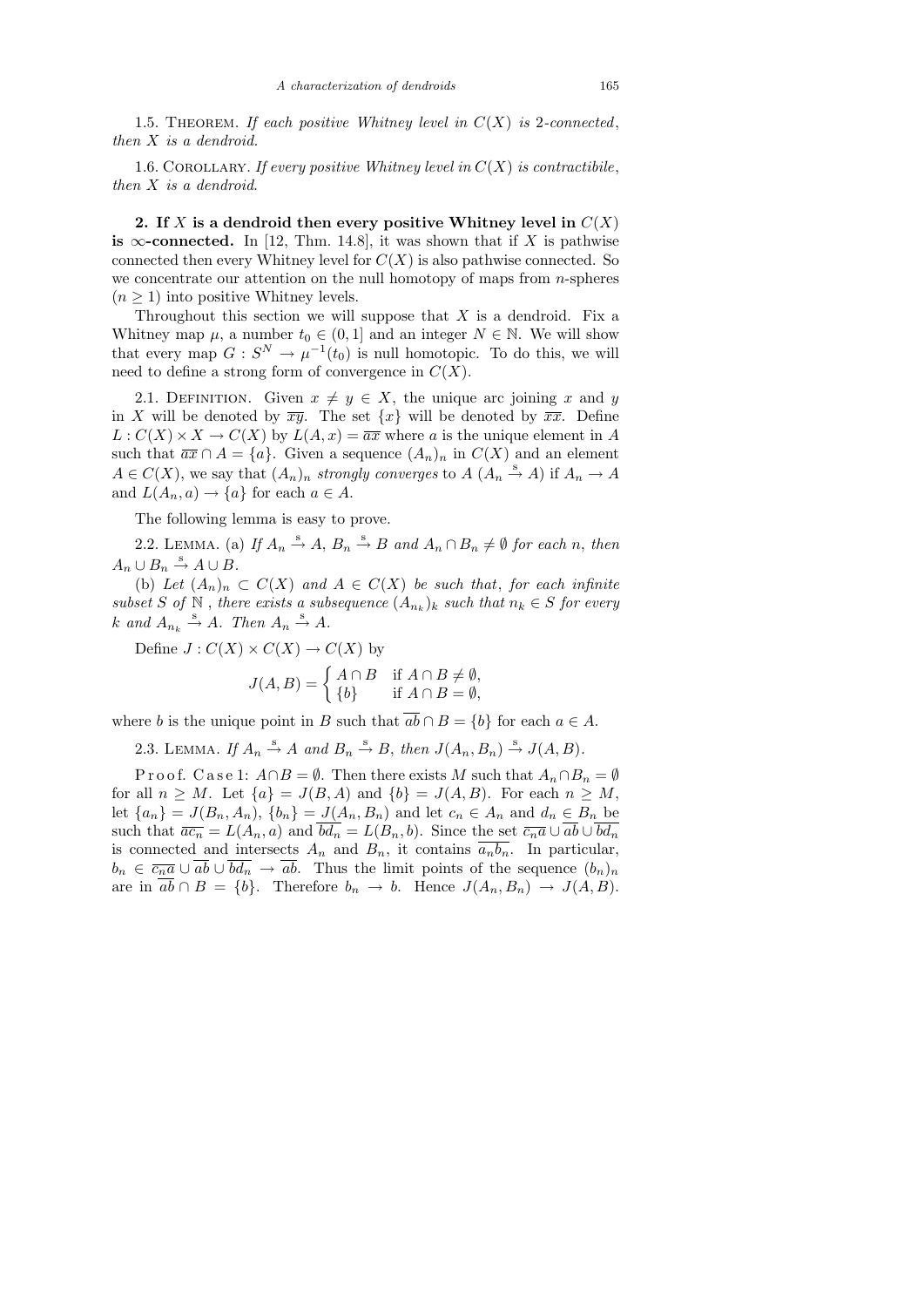1.5. THEOREM. If each positive Whitney level in  $C(X)$  is 2-connected, then X is a dendroid.

1.6. COROLLARY. If every positive Whitney level in  $C(X)$  is contractibile, then X is a dendroid.

2. If X is a dendroid then every positive Whitney level in  $C(X)$ is  $\infty$ -connected. In [12, Thm. 14.8], it was shown that if X is pathwise connected then every Whitney level for  $C(X)$  is also pathwise connected. So we concentrate our attention on the null homotopy of maps from  $n$ -spheres  $(n \geq 1)$  into positive Whitney levels.

Throughout this section we will suppose that  $X$  is a dendroid. Fix a Whitney map  $\mu$ , a number  $t_0 \in (0, 1]$  and an integer  $N \in \mathbb{N}$ . We will show that every map  $G: S^N \to \mu^{-1}(t_0)$  is null homotopic. To do this, we will need to define a strong form of convergence in  $C(X)$ .

2.1. DEFINITION. Given  $x \neq y \in X$ , the unique arc joining x and y in X will be denoted by  $\overline{xy}$ . The set  $\{x\}$  will be denoted by  $\overline{xx}$ . Define  $L: C(X) \times X \to C(X)$  by  $L(A, x) = \overline{ax}$  where a is the unique element in A such that  $\overline{ax} \cap A = \{a\}$ . Given a sequence  $(A_n)_n$  in  $C(X)$  and an element  $A \in C(X)$ , we say that  $(A_n)_n$  strongly converges to  $A(A_n \stackrel{s}{\rightarrow} A)$  if  $A_n \rightarrow A$ and  $L(A_n, a) \to \{a\}$  for each  $a \in A$ .

The following lemma is easy to prove.

2.2. LEMMA. (a) If  $A_n \stackrel{s}{\rightarrow} A$ ,  $B_n \stackrel{s}{\rightarrow} B$  and  $A_n \cap B_n \neq \emptyset$  for each n, then  $A_n \cup B_n \stackrel{s}{\rightarrow} A \cup B.$ 

(b) Let  $(A_n)_n \subset C(X)$  and  $A \in C(X)$  be such that, for each infinite subset S of  $\mathbb N$ , there exists a subsequence  $(A_{n_k})_k$  such that  $n_k \in S$  for every  $k$  and  $A_{n_k} \stackrel{s}{\rightarrow} A$ . Then  $A_n \stackrel{s}{\rightarrow} A$ .

Define 
$$
J : C(X) \times C(X) \to C(X)
$$
 by  
\n
$$
J(A, B) = \begin{cases} A \cap B & \text{if } A \cap B \neq \emptyset, \\ \{b\} & \text{if } A \cap B = \emptyset, \end{cases}
$$

where b is the unique point in B such that  $\overline{ab} \cap B = \{b\}$  for each  $a \in A$ .

2.3. LEMMA. If  $A_n \stackrel{s}{\rightarrow} A$  and  $B_n \stackrel{s}{\rightarrow} B$ , then  $J(A_n, B_n) \stackrel{s}{\rightarrow} J(A, B)$ .

P r o o f. C a s e 1:  $A \cap B = \emptyset$ . Then there exists M such that  $A_n \cap B_n = \emptyset$ for all  $n \geq M$ . Let  $\{a\} = J(B, A)$  and  $\{b\} = J(A, B)$ . For each  $n \geq M$ , let  ${a_n} = J(B_n, A_n)$ ,  ${b_n} = J(A_n, B_n)$  and let  $c_n \in A_n$  and  $d_n \in B_n$  be such that  $\overline{ac_n} = L(A_n, a)$  and  $\overline{bd_n} = L(B_n, b)$ . Since the set  $\overline{c_n a} \cup \overline{ab} \cup \overline{bd_n}$ is connected and intersects  $A_n$  and  $B_n$ , it contains  $\overline{a_n b_n}$ . In particular,  $b_n \in \overline{c_n a} \cup \overline{ab} \cup \overline{bd_n} \to \overline{ab}$ . Thus the limit points of the sequence  $(b_n)_n$ are in  $\overline{ab} \cap B = \{b\}$ . Therefore  $b_n \to b$ . Hence  $J(A_n, B_n) \to J(A, B)$ .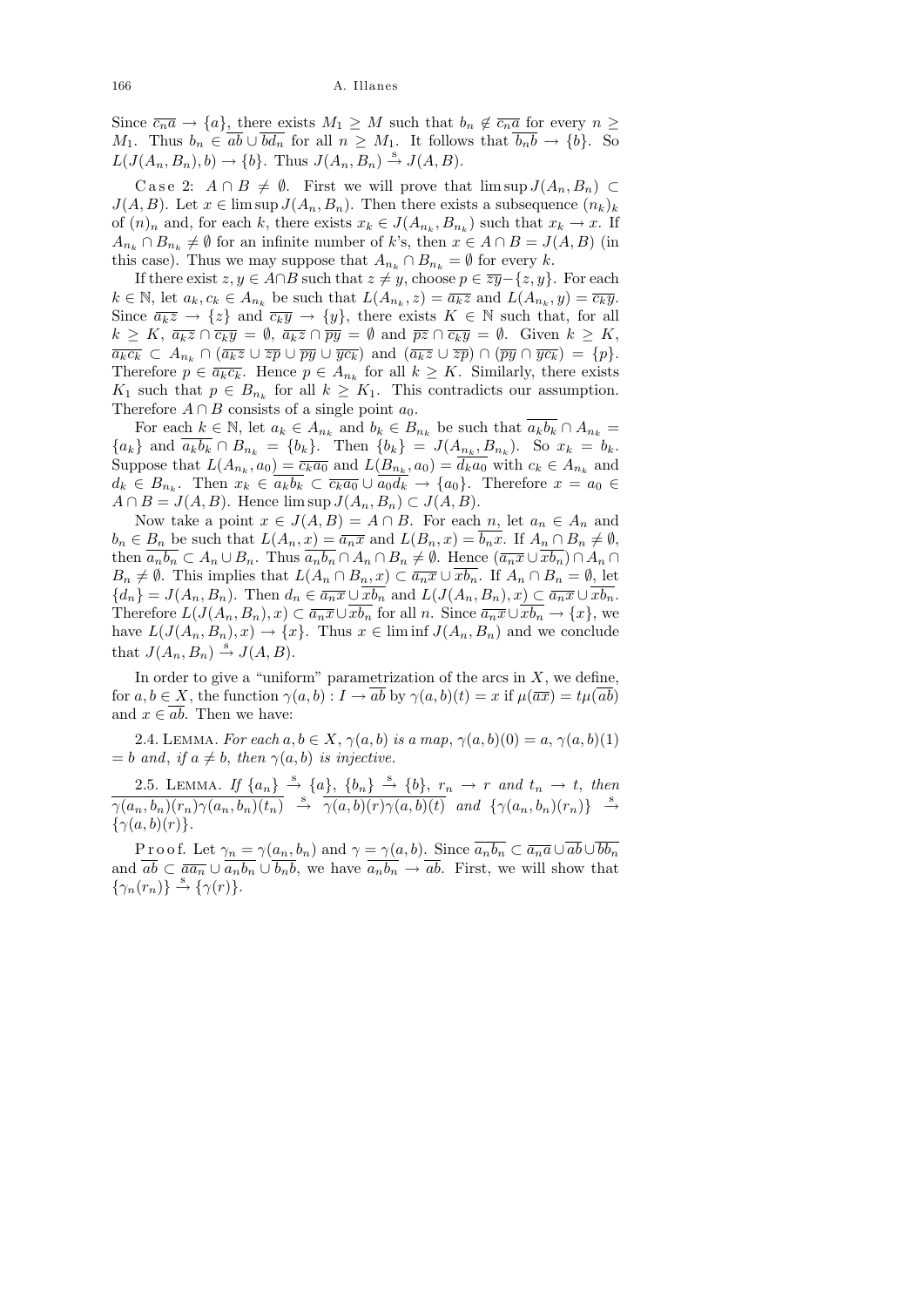Since  $\overline{c_n a} \to \{a\}$ , there exists  $M_1 \geq M$  such that  $b_n \notin \overline{c_n a}$  for every  $n \geq$  $M_1$ . Thus  $b_n \in \overline{ab} \cup \overline{bd_n}$  for all  $n \geq M_1$ . It follows that  $\overline{b_n b} \to \{b\}$ . So  $L(J(A_n, B_n), b) \to \{b\}$ . Thus  $J(A_n, B_n) \stackrel{s}{\to} J(A, B)$ .

Case 2:  $A \cap B \neq \emptyset$ . First we will prove that  $\limsup J(A_n, B_n) \subset$  $J(A, B)$ . Let  $x \in \limsup J(A_n, B_n)$ . Then there exists a subsequence  $(n_k)_k$ of  $(n)_n$  and, for each k, there exists  $x_k \in J(A_{n_k}, B_{n_k})$  such that  $x_k \to x$ . If  $A_{n_k} \cap B_{n_k} \neq \emptyset$  for an infinite number of k's, then  $x \in A \cap B = J(A, B)$  (in this case). Thus we may suppose that  $A_{n_k} \cap B_{n_k} = \emptyset$  for every k.

If there exist  $z, y \in A \cap B$  such that  $z \neq y$ , choose  $p \in \overline{zy}$  $-\{z, y\}$ . For each  $k \in \mathbb{N}$ , let  $a_k, c_k \in A_{n_k}$  be such that  $L(A_{n_k}, z) = \overline{a_k z}$  and  $L(A_{n_k}, y) = \overline{c_k y}$ . Since  $\overline{a_kz} \to \overline{\{z\}}$  and  $\overline{c_ky} \to \overline{\{y\}}$ , there exists  $K \in \mathbb{N}$  such that, for all  $k \geq K$ ,  $\overline{a_k z} \cap \overline{c_k y} = \emptyset$ ,  $\overline{a_k z} \cap \overline{py} = \emptyset$  and  $\overline{pz} \cap \overline{c_k y} = \emptyset$ . Given  $k \geq K$ ,  $\overline{a_kc_k} \subset A_{n_k} \cap (\overline{a_kz} \cup \overline{zp} \cup \overline{py} \cup \overline{yc_k})$  and  $(\overline{a_kz} \cup \overline{zp}) \cap (\overline{py} \cap \overline{yc_k}) = \{p\}.$ Therefore  $p \in \overline{a_k c_k}$ . Hence  $p \in A_{n_k}$  for all  $k \geq K$ . Similarly, there exists  $K_1$  such that  $p \in B_{n_k}$  for all  $k \geq K_1$ . This contradicts our assumption. Therefore  $A \cap B$  consists of a single point  $a_0$ .

For each  $k \in \mathbb{N}$ , let  $a_k \in A_{n_k}$  and  $b_k \in B_{n_k}$  be such that  $\overline{a_k b_k} \cap A_{n_k} =$  ${a_k}$  and  $a_k b_k \cap B_{n_k} = {b_k}$ . Then  ${b_k} = J(A_{n_k}, B_{n_k})$ . So  $x_k = b_k$ . Suppose that  $L(A_{n_k}, a_0) = \overline{c_k a_0}$  and  $L(B_{n_k}, a_0) = d_k a_0$  with  $c_k \in A_{n_k}$  and  $d_k \in B_{n_k}$ . Then  $x_k \in a_k b_k \subset \overline{c_k a_0} \cup a_0 d_k \to \{a_0\}$ . Therefore  $x = a_0 \in$  $A \cap B = J(A, B)$ . Hence  $\limsup J(A_n, B_n) \subset J(A, B)$ .

Now take a point  $x \in J(A, B) = A \cap B$ . For each n, let  $a_n \in A_n$  and  $b_n \in B_n$  be such that  $L(A_n, x) = \overline{a_n x}$  and  $L(B_n, x) = \overline{b_n x}$ . If  $A_n \cap B_n \neq \emptyset$ , then  $\overline{a_nb_n} \subset A_n \cup B_n$ . Thus  $\overline{a_nb_n} \cap A_n \cap B_n \neq \emptyset$ . Hence  $(\overline{a_nx} \cup \overline{xb_n}) \cap A_n \cap$  $B_n \neq \emptyset$ . This implies that  $L(A_n \cap B_n, x) \subset \overline{a_n x} \cup \overline{xb_n}$ . If  $A_n \cap B_n = \emptyset$ , let  ${d_n} = J(A_n, B_n)$ . Then  $d_n \in \overline{a_n x} \cup \overline{x b_n}$  and  $L(J(A_n, B_n), x) \subset \overline{a_n x} \cup \overline{x b_n}$ . Therefore  $L(J(A_n, B_n), x) \subset \overline{a_n x} \cup \overline{x b_n}$  for all n. Since  $\overline{a_n x} \cup \overline{x b_n} \to \{x\}$ , we have  $L(J(A_n, B_n), x) \to \{x\}$ . Thus  $x \in \liminf J(A_n, B_n)$  and we conclude that  $J(A_n, B_n) \stackrel{s}{\rightarrow} J(A, B)$ .

In order to give a "uniform" parametrization of the arcs in  $X$ , we define, for  $a, b \in X$ , the function  $\gamma(a, b) : I \to ab$  by  $\gamma(a, b)(t) = x$  if  $\mu(\overline{ax}) = t\mu(ab)$ and  $x \in ab$ . Then we have:

2.4. LEMMA. For each  $a, b \in X$ ,  $\gamma(a, b)$  is a map,  $\gamma(a, b)(0) = a$ ,  $\gamma(a, b)(1)$  $= b$  and, if  $a \neq b$ , then  $\gamma(a, b)$  is injective.

2.5. LEMMA. If  $\{a_n\} \stackrel{s}{\rightarrow} \{a\}$ ,  $\{b_n\} \stackrel{s}{\rightarrow} \{b\}$ ,  $r_n \rightarrow r$  and  $t_n \rightarrow t$ , then  $\overline{\gamma(a_n,b_n)(r_n)\gamma(a_n,b_n)(t_n)} \stackrel{\rm s}{\rightarrow} \overline{\gamma(a,b)(r)\gamma(a,b)(t)}$  and  $\{\gamma(a_n,b_n)(r_n)\}\stackrel{\rm s}{\rightarrow}$  $\{\gamma(a,b)(r)\}.$ 

P r o o f. Let  $\gamma_n = \gamma(a_n, b_n)$  and  $\gamma = \gamma(a, b)$ . Since  $\overline{a_n b_n} \subset \overline{a_n a} \cup \overline{ab} \cup \overline{bb_n}$ and  $\overline{ab} \subset \overline{aa_n} \cup \overline{a_n b_n} \cup \overline{b_n b}$ , we have  $\overline{a_n b_n} \to \overline{ab}$ . First, we will show that  $\{\gamma_n(r_n)\}\stackrel{\rm s}{\rightarrow}\{\gamma(r)\}.$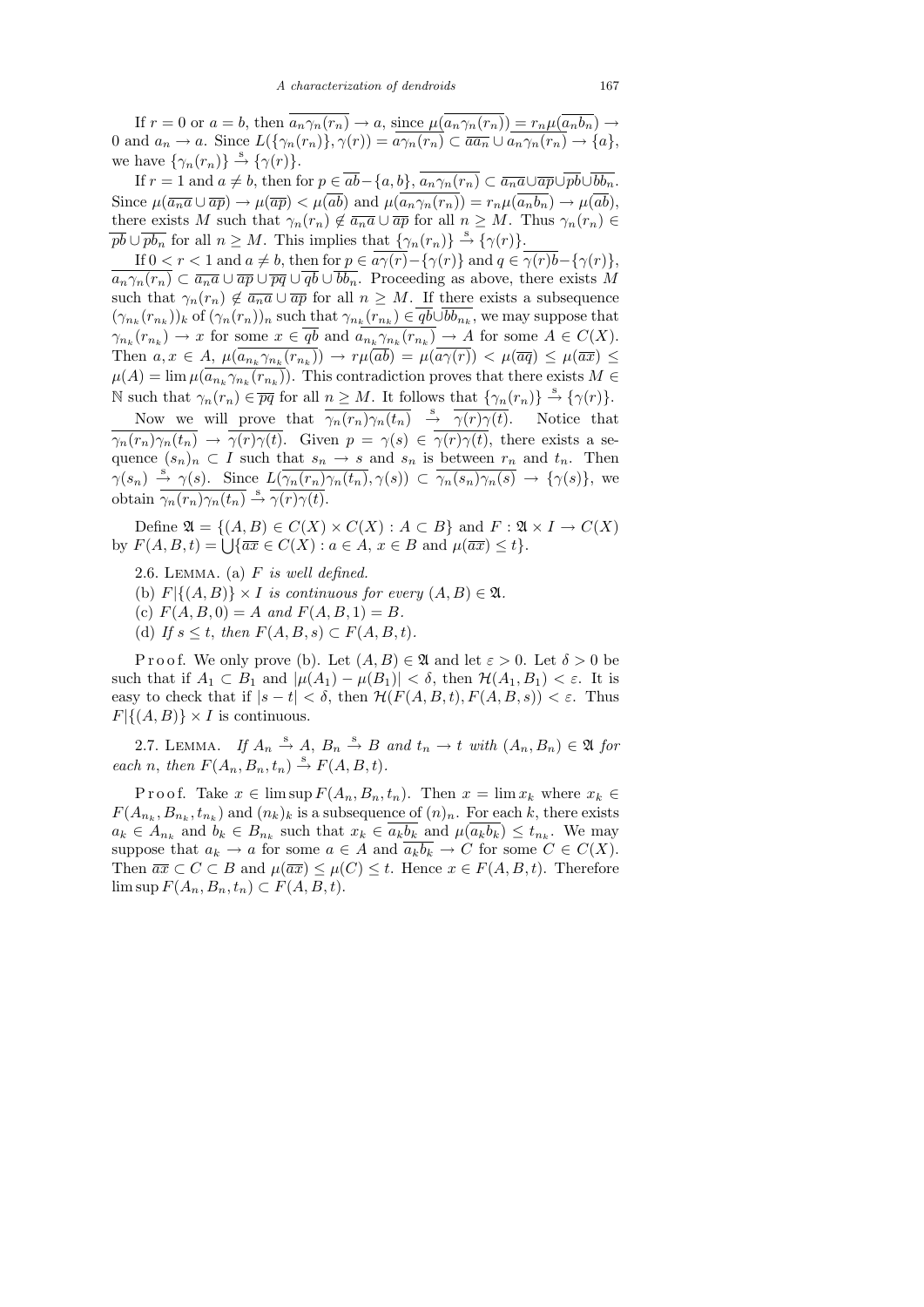If  $r = 0$  or  $a = b$ , then  $\overline{a_n \gamma_n(r_n)} \to a$ , since  $\mu(\overline{a_n \gamma_n(r_n)}) = r_n \mu(\overline{a_n b_n}) \to a$ 0 and  $a_n \to a$ . Since  $L(\{\gamma_n(r_n)\}, \gamma(r)) = a\gamma_n(r_n) \subset \overline{aa_n} \cup a_n\gamma_n(r_n) \to \{a\},$ we have  $\{\gamma_n(r_n)\}\stackrel{\rm s}{\rightarrow} \{\gamma(r)\}.$ 

If  $r = 1$  and  $a \neq b$ , then for  $p \in \overline{ab} - \{a, b\}$ ,  $\overline{a_n \gamma_n(r_n)} \subset \overline{a_n a} \cup \overline{ap} \cup \overline{pb} \cup \overline{bb_n}$ . Since  $\mu(\overline{a_n a} \cup \overline{a p}) \to \mu(\overline{a p}) < \mu(\overline{a b})$  and  $\mu(\overline{a_n \gamma_n(r_n)}) = r_n \mu(\overline{a_n b_n}) \to \mu(\overline{a b})$ , there exists M such that  $\gamma_n(r_n) \notin \overline{a_n a} \cup \overline{ap}$  for all  $n \geq M$ . Thus  $\gamma_n(r_n) \in$  $\overline{pb} \cup \overline{pb_n}$  for all  $n \geq M$ . This implies that  $\{\gamma_n(r_n)\} \stackrel{\text{s}}{\rightarrow} \{\gamma(r)\}.$ 

If  $0 < r < 1$  and  $a \neq b$ , then for  $p \in a\overline{\gamma(r)} - {\gamma(r)}$  and  $q \in \overline{\gamma(r)b} - {\gamma(r)}$ ,  $a_n\gamma_n(r_n) \subset \overline{a_n a} \cup \overline{ap} \cup \overline{pq} \cup \overline{qb} \cup \overline{bb_n}$ . Proceeding as above, there exists M such that  $\gamma_n(r_n) \notin \overline{a_n a} \cup \overline{a} \overline{p}$  for all  $n \geq M$ . If there exists a subsequence  $(\gamma_{n_k}(r_{n_k}))_k$  of  $(\gamma_n(r_n))_n$  such that  $\gamma_{n_k}(r_{n_k}) \in qb \cup bb_{n_k}$ , we may suppose that  $\gamma_{n_k}(r_{n_k}) \to x$  for some  $x \in qb$  and  $a_{n_k}\gamma_{n_k}(r_{n_k}) \to A$  for some  $A \in C(X)$ . Then  $a, x \in A$ ,  $\mu(a_{n_k} \gamma_{n_k}(r_{n_k})) \to r\mu(ab) = \mu(a\gamma(r)) < \mu(\overline{aq}) \leq \mu(\overline{ax}) \leq$  $\mu(A) = \lim \mu(a_{n_k} \gamma_{n_k}(r_{n_k}))$ . This contradiction proves that there exists  $M \in$ N such that  $\gamma_n(r_n) \in \overline{pq}$  for all  $n \geq M$ . It follows that  $\{\gamma_n(r_n)\} \stackrel{\text{s}}{\rightarrow} \{\gamma(r)\}.$ 

Now we will prove that  $\overline{\gamma_n(r_n)\gamma_n(t_n)} \stackrel{s}{\rightarrow} \overline{\gamma(r)\gamma(t)}$ . Notice that  $\overline{\gamma_n(r_n)\gamma_n(t_n)} \to \overline{\gamma(r)\gamma(t)}$ . Given  $p = \gamma(s) \in \overline{\gamma(r)\gamma(t)}$ , there exists a sequence  $(s_n)_n \subset I$  such that  $s_n \to s$  and  $s_n$  is between  $r_n$  and  $t_n$ . Then  $\gamma(s_n) \stackrel{s}{\rightarrow} \gamma(s)$ . Since  $L(\overline{\gamma_n(r_n)\gamma_n(t_n)}, \gamma(s)) \subset \overline{\gamma_n(s_n)\gamma_n(s)} \rightarrow {\gamma(s)}$ , we obtain  $\overline{\gamma_n(r_n)\gamma_n(t_n)} \stackrel{s}{\rightarrow} \overline{\gamma(r)\gamma(t)}$ .

Define  $\mathfrak{A} = \{(A, B) \in C(X) \times C(X) : A \subset B\}$  and  $F : \mathfrak{A} \times I \to C(X)$ by  $F(A, B, t) = \bigcup \{ \overline{ax} \in C(X) : a \in A, x \in B \text{ and } \mu(\overline{ax}) \leq t \}.$ 

- 2.6. LEMMA. (a)  $F$  is well defined.
- (b)  $F\vert \{(A, B)\}\times I$  is continuous for every  $(A, B)\in \mathfrak{A}$ .
- (c)  $F(A, B, 0) = A$  and  $F(A, B, 1) = B$ .
- (d) If  $s \leq t$ , then  $F(A, B, s) \subset F(A, B, t)$ .

P r o o f. We only prove (b). Let  $(A, B) \in \mathfrak{A}$  and let  $\varepsilon > 0$ . Let  $\delta > 0$  be such that if  $A_1 \subset B_1$  and  $|\mu(A_1) - \mu(B_1)| < \delta$ , then  $\mathcal{H}(A_1, B_1) < \varepsilon$ . It is easy to check that if  $|s-t| < \delta$ , then  $\mathcal{H}(F(A, B, t), F(A, B, s)) < \varepsilon$ . Thus  $F\vert \{(A, B)\}\times I$  is continuous.

2.7. LEMMA. If  $A_n \stackrel{s}{\rightarrow} A$ ,  $B_n \stackrel{s}{\rightarrow} B$  and  $t_n \rightarrow t$  with  $(A_n, B_n) \in \mathfrak{A}$  for each n, then  $F(A_n, B_n, t_n) \stackrel{s}{\rightarrow} F(A, B, t)$ .

P r o o f. Take  $x \in \limsup F(A_n, B_n, t_n)$ . Then  $x = \lim x_k$  where  $x_k \in$  $F(A_{n_k}, B_{n_k}, t_{n_k})$  and  $(n_k)_k$  is a subsequence of  $(n)_n$ . For each k, there exists  $a_k \in A_{n_k}$  and  $b_k \in B_{n_k}$  such that  $x_k \in a_k b_k$  and  $\mu(a_k b_k) \leq t_{n_k}$ . We may suppose that  $a_k \to a$  for some  $a \in A$  and  $\overline{a_k b_k} \to C$  for some  $C \in C(X)$ . Then  $\overline{ax} \subset C \subset B$  and  $\mu(\overline{ax}) \leq \mu(C) \leq t$ . Hence  $x \in F(A, B, t)$ . Therefore  $\limsup F(A_n, B_n, t_n) \subset F(A, B, t).$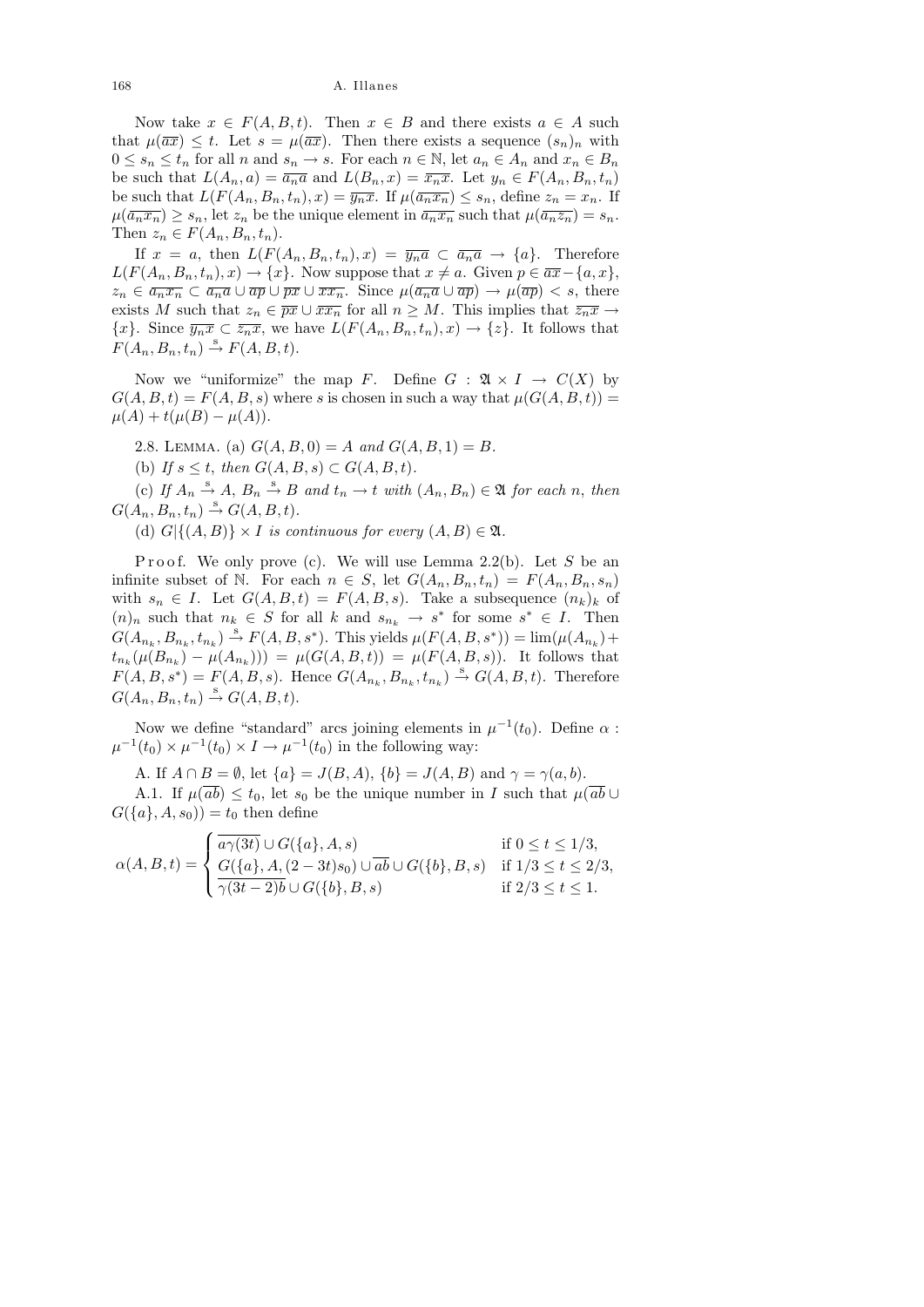Now take  $x \in F(A, B, t)$ . Then  $x \in B$  and there exists  $a \in A$  such that  $\mu(\overline{ax}) \leq t$ . Let  $s = \mu(\overline{ax})$ . Then there exists a sequence  $(s_n)_n$  with  $0 \leq s_n \leq t_n$  for all n and  $s_n \to s$ . For each  $n \in \mathbb{N}$ , let  $a_n \in A_n$  and  $x_n \in B_n$ be such that  $L(A_n, a) = \overline{a_n a}$  and  $L(B_n, x) = \overline{x_n x}$ . Let  $y_n \in F(A_n, B_n, t_n)$ be such that  $L(F(A_n, B_n, t_n), x) = \overline{y_n x}$ . If  $\mu(\overline{a_n x_n}) \leq s_n$ , define  $z_n = x_n$ . If  $\mu(\overline{a_n x_n}) \ge s_n$ , let  $z_n$  be the unique element in  $\overline{a_n x_n}$  such that  $\mu(\overline{a_n z_n}) = s_n$ . Then  $z_n \in F(A_n, B_n, t_n)$ .

If  $x = a$ , then  $L(F(A_n, B_n, t_n), x) = \overline{y_n a} \subset \overline{a_n a} \to \{a\}$ . Therefore  $L(F(A_n, B_n, t_n), x) \to \{x\}$ . Now suppose that  $x \neq a$ . Given  $p \in \overline{ax} - \{a, x\}$ ,  $z_n \in \overline{a_n x_n} \subset \overline{a_n a} \cup \overline{a} \overline{p} \cup \overline{px} \cup \overline{xx_n}$ . Since  $\mu(\overline{a_n a} \cup \overline{a} \overline{p}) \to \mu(\overline{a} \overline{p}) < s$ , there exists M such that  $z_n \in \overline{px} \cup \overline{xx_n}$  for all  $n \geq M$ . This implies that  $\overline{z_n x} \to$  $\{x\}$ . Since  $\overline{y_nx} \subset \overline{z_nx}$ , we have  $L(F(A_n, B_n, t_n), x) \to \{z\}$ . It follows that  $F(A_n, B_n, t_n) \stackrel{s}{\rightarrow} F(A, B, t).$ 

Now we "uniformize" the map F. Define  $G : \mathfrak{A} \times I \to C(X)$  by  $G(A, B, t) = F(A, B, s)$  where s is chosen in such a way that  $\mu(G(A, B, t)) =$  $\mu(A) + t(\mu(B) - \mu(A)).$ 

2.8. LEMMA. (a)  $G(A, B, 0) = A$  and  $G(A, B, 1) = B$ .

(b) If  $s \leq t$ , then  $G(A, B, s) \subset G(A, B, t)$ .

(c) If  $A_n \stackrel{s}{\rightarrow} A$ ,  $B_n \stackrel{s}{\rightarrow} B$  and  $t_n \rightarrow t$  with  $(A_n, B_n) \in \mathfrak{A}$  for each n, then  $G(A_n, B_n, t_n) \stackrel{s}{\rightarrow} G(A, B, t).$ 

(d)  $G$ {{ $(A, B)$ } × I is continuous for every  $(A, B) \in \mathfrak{A}$ .

P roof. We only prove (c). We will use Lemma 2.2(b). Let S be an infinite subset of N. For each  $n \in S$ , let  $G(A_n, B_n, t_n) = F(A_n, B_n, s_n)$ with  $s_n \in I$ . Let  $G(A, B, t) = F(A, B, s)$ . Take a subsequence  $(n_k)_k$  of  $(n)_n$  such that  $n_k \in S$  for all k and  $s_{n_k} \to s^*$  for some  $s^* \in I$ . Then  $G(A_{n_k}, B_{n_k}, t_{n_k}) \stackrel{\text{s}}{\rightarrow} F(A, B, s^*)$ . This yields  $\mu(F(A, B, s^*)) = \lim_{(A_{n_k}) + (A_{n_k}) + (B_{n_k}) + (B_{n_k}) + (B_{n_k}) + (B_{n_k}) + (B_{n_k}) + (B_{n_k}) + (B_{n_k}) + (B_{n_k}) + (B_{n_k}) + (B_{n_k}) + (B_{n_k}) + (B_{n_k}) + (B_{n_k}) + (B_{n_k}) + (B_{n_k}) + (B_{n_k})$  $t_{n_k}(\mu(B_{n_k}) - \mu(A_{n_k}))) = \mu(G(A, B, t)) = \mu(F(A, B, s)).$  It follows that  $F(A, B, s^*) = F(A, B, s)$ . Hence  $G(A_{n_k}, B_{n_k}, t_{n_k}) \stackrel{s}{\rightarrow} G(A, B, t)$ . Therefore  $G(A_n, B_n, t_n) \stackrel{s}{\rightarrow} G(A, B, t).$ 

Now we define "standard" arcs joining elements in  $\mu^{-1}(t_0)$ . Define  $\alpha$ :  $\mu^{-1}(t_0) \times \mu^{-1}(t_0) \times I \to \mu^{-1}(t_0)$  in the following way:

A. If  $A \cap B = \emptyset$ , let  $\{a\} = J(B, A), \{b\} = J(A, B)$  and  $\gamma = \gamma(a, b)$ .

A.1. If  $\mu(ab) \leq t_0$ , let  $s_0$  be the unique number in I such that  $\mu(ab) \cup$  $G({a}, A, s_0) = t_0$  then define

$$
\alpha(A, B, t) = \begin{cases} \overline{a\gamma(3t)} \cup G(\{a\}, A, s) & \text{if } 0 \le t \le 1/3, \\ G(\{a\}, A, (2-3t)s_0) \cup \overline{ab} \cup G(\{b\}, B, s) & \text{if } 1/3 \le t \le 2/3, \\ \overline{\gamma(3t-2)b} \cup G(\{b\}, B, s) & \text{if } 2/3 \le t \le 1. \end{cases}
$$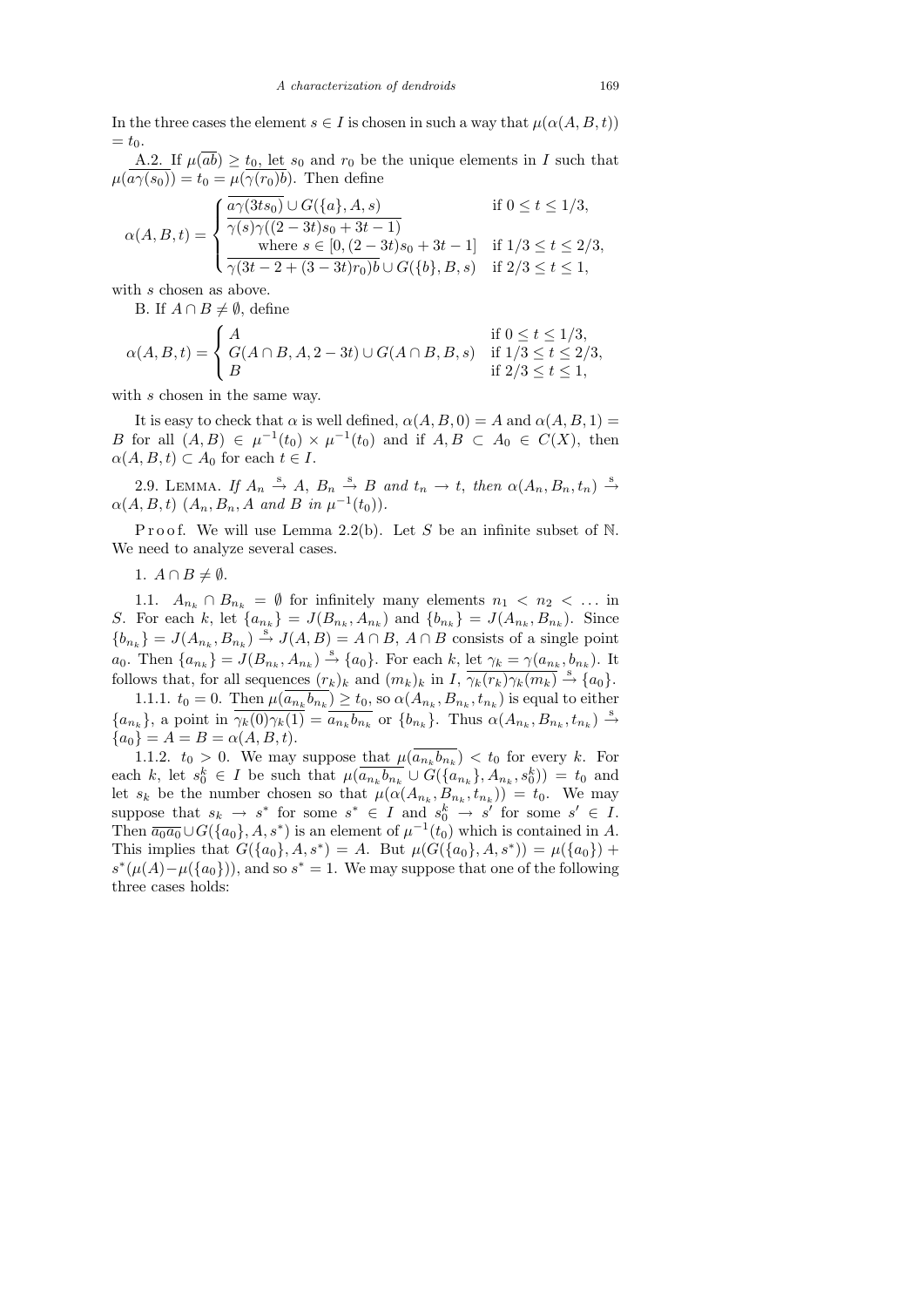In the three cases the element  $s \in I$  is chosen in such a way that  $\mu(\alpha(A, B, t))$  $= t_0.$ 

A.2. If  $\mu(\overline{ab}) \ge t_0$ , let  $s_0$  and  $r_0$  be the unique elements in I such that  $\mu(\overline{a\gamma(s_0)})=t_0=\mu(\overline{\gamma(r_0)b})$ . Then define

$$
\alpha(A, B, t) = \begin{cases} \frac{\overline{a\gamma(3ts_0)} \cup G(\{a\}, A, s) & \text{if } 0 \le t \le 1/3, \\ \frac{\gamma(s)\gamma((2-3t)s_0 + 3t - 1)}{\text{where } s \in [0, (2-3t)s_0 + 3t - 1]} & \text{if } 1/3 \le t \le 2/3, \\ \frac{\gamma(3t - 2 + (3 - 3t)r_0)b}{\sqrt{3t - 2 + (3 - 3t)r_0}b} \cup G(\{b\}, B, s) & \text{if } 2/3 \le t \le 1, \end{cases}
$$

with s chosen as above.

B. If  $A \cap B \neq \emptyset$ , define

$$
\alpha(A, B, t) = \begin{cases} A & \text{if } 0 \le t \le 1/3, \\ G(A \cap B, A, 2 - 3t) \cup G(A \cap B, B, s) & \text{if } 1/3 \le t \le 2/3, \\ B & \text{if } 2/3 \le t \le 1, \end{cases}
$$

with s chosen in the same way.

It is easy to check that  $\alpha$  is well defined,  $\alpha(A, B, 0) = A$  and  $\alpha(A, B, 1) = A$ B for all  $(A, B) \in \mu^{-1}(t_0) \times \mu^{-1}(t_0)$  and if  $A, B \subset A_0 \in C(X)$ , then  $\alpha(A, B, t) \subset A_0$  for each  $t \in I$ .

2.9. LEMMA. If  $A_n \stackrel{s}{\rightarrow} A$ ,  $B_n \stackrel{s}{\rightarrow} B$  and  $t_n \rightarrow t$ , then  $\alpha(A_n, B_n, t_n) \stackrel{s}{\rightarrow}$  $\alpha(A, B, t)$   $(A_n, B_n, A \text{ and } B \text{ in } \mu^{-1}(t_0)).$ 

P r o o f. We will use Lemma 2.2(b). Let S be an infinite subset of N. We need to analyze several cases.

1.  $A \cap B \neq \emptyset$ .

1.1.  $A_{n_k} \cap B_{n_k} = \emptyset$  for infinitely many elements  $n_1 \lt n_2 \lt \ldots$  in S. For each k, let  $\{a_{n_k}\} = J(B_{n_k}, A_{n_k})$  and  $\{b_{n_k}\} = J(A_{n_k}, B_{n_k})$ . Since  ${b_{n_k}} = J(A_{n_k}, B_{n_k}) \stackrel{\text{s}}{\rightarrow} J(A, B) = A \cap B$ ,  $A \cap B$  consists of a single point  $a_0$ . Then  $\{a_{n_k}\} = J(B_{n_k}, A_{n_k}) \stackrel{\text{s}}{\rightarrow} \{a_0\}$ . For each k, let  $\gamma_k = \gamma(a_{n_k}, b_{n_k})$ . It follows that, for all sequences  $(r_k)_k$  and  $(m_k)_k$  in  $I$ ,  $\overline{\gamma_k(r_k)\gamma_k(m_k)} \stackrel{s}{\rightarrow} \{a_0\}.$ 

1.1.1.  $t_0 = 0$ . Then  $\mu(a_{n_k} b_{n_k}) \ge t_0$ , so  $\alpha(A_{n_k}, B_{n_k}, t_{n_k})$  is equal to either  ${a_{n_k}}$ , a point in  $\overline{\gamma_k(0)\gamma_k(1)} = \overline{a_{n_k}b_{n_k}}$  or  ${b_{n_k}}$ . Thus  $\alpha(A_{n_k}, B_{n_k}, t_{n_k}) \stackrel{s}{\rightarrow}$  ${a_0} = A = B = \alpha(A, B, t).$ 

1.1.2.  $t_0 > 0$ . We may suppose that  $\mu(a_{n_k} b_{n_k}) < t_0$  for every k. For each k, let  $s_0^k \in I$  be such that  $\mu(\overline{a_{n_k}b_{n_k}} \cup G(\{a_{n_k}\}, A_{n_k}, s_0^k)) = t_0$  and let  $s_k$  be the number chosen so that  $\mu(\alpha(A_{n_k}, B_{n_k}, t_{n_k})) = t_0$ . We may suppose that  $s_k \to s^*$  for some  $s^* \in I$  and  $s_0^k \to s'$  for some  $s' \in I$ . Then  $\overline{a_0a_0} \cup G(\{a_0\},A,s^*)$  is an element of  $\mu^{-1}(t_0)$  which is contained in A. This implies that  $G({a_0}, A, s^*) = A$ . But  $\mu(G({a_0}, A, s^*)) = \mu({a_0}) +$  $s^*(\mu(A)-\mu({a_0})),$  and so  $s^*=1$ . We may suppose that one of the following three cases holds: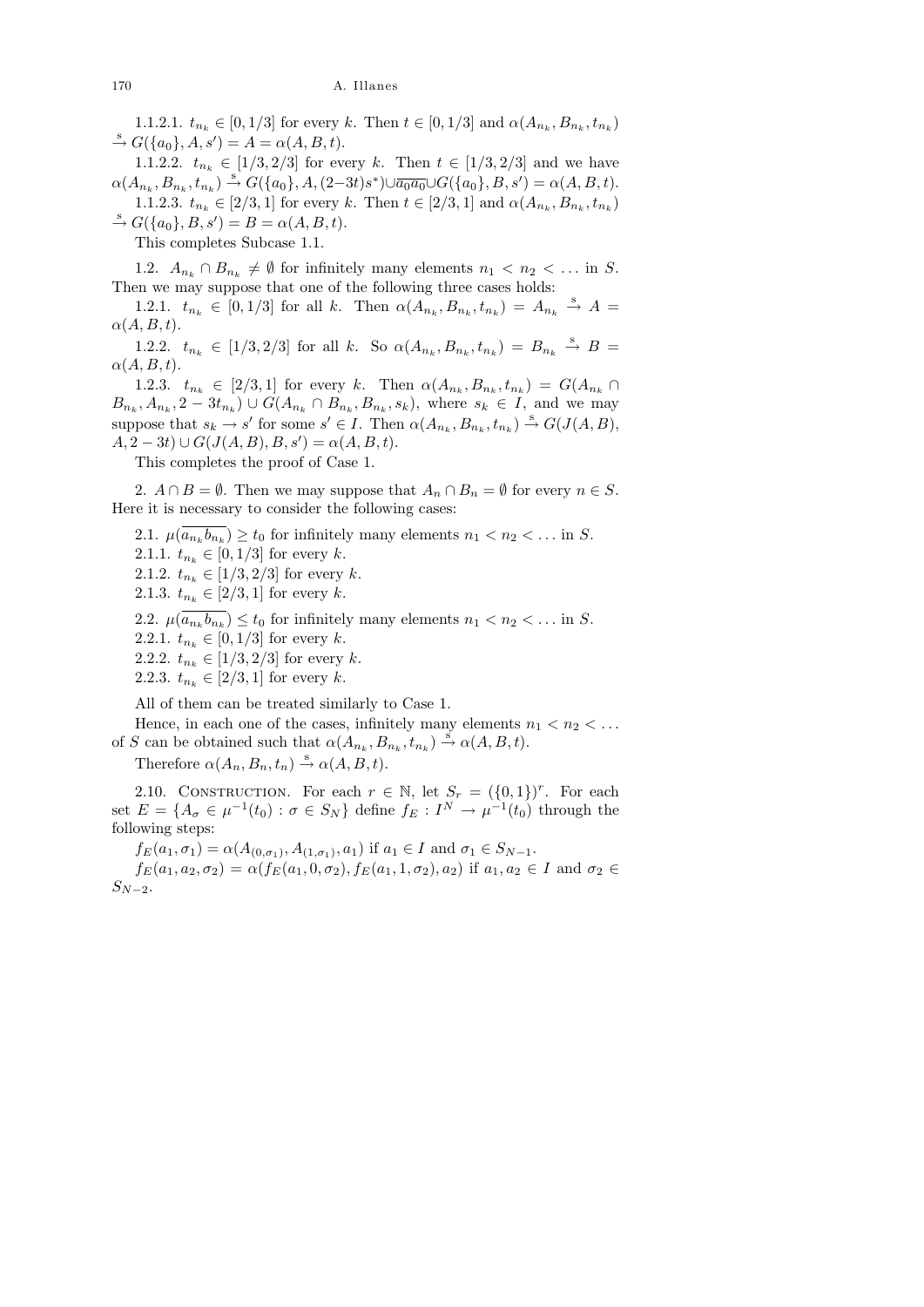1.1.2.1.  $t_{n_k} \in [0, 1/3]$  for every k. Then  $t \in [0, 1/3]$  and  $\alpha(A_{n_k}, B_{n_k}, t_{n_k})$  $\stackrel{\rm s}{\to} G({a_0},A,s') = A = \alpha(A,B,t).$ 

1.1.2.2.  $t_{n_k} \in [1/3, 2/3]$  for every k. Then  $t \in [1/3, 2/3]$  and we have  $\alpha(A_{n_k}, B_{n_k}, t_{n_k}) \stackrel{\text{s}}{\rightarrow} G(\{a_0\}, A, (2-3t)s^*) \cup \overline{a_0 a_0} \cup G(\{a_0\}, B, s') = \alpha(A, B, t).$ 1.1.2.3.  $t_{n_k} \in [2/3, 1]$  for every k. Then  $t \in [2/3, 1]$  and  $\alpha(A_{n_k}, B_{n_k}, t_{n_k})$  $\stackrel{\rm s}{\to} G({a_0}, B, s') = B = \alpha(A, B, t).$ 

This completes Subcase 1.1.

1.2.  $A_{n_k} \cap B_{n_k} \neq \emptyset$  for infinitely many elements  $n_1 < n_2 < \dots$  in S. Then we may suppose that one of the following three cases holds:

1.2.1.  $t_{n_k} \in [0, 1/3]$  for all k. Then  $\alpha(A_{n_k}, B_{n_k}, t_{n_k}) = A_{n_k} \stackrel{s}{\rightarrow} A =$  $\alpha(A, B, t).$ 

1.2.2.  $t_{n_k} \in [1/3, 2/3]$  for all k. So  $\alpha(A_{n_k}, B_{n_k}, t_{n_k}) = B_{n_k} \stackrel{s}{\rightarrow} B =$  $\alpha(A, B, t).$ 

1.2.3.  $t_{n_k} \in [2/3, 1]$  for every k. Then  $\alpha(A_{n_k}, B_{n_k}, t_{n_k}) = G(A_{n_k} \cap$  $B_{n_k}, A_{n_k}, 2-3t_{n_k} \supset \bigcup G(A_{n_k} \cap B_{n_k}, B_{n_k}, s_k),$  where  $s_k \in I$ , and we may suppose that  $s_k \to s'$  for some  $s' \in I$ . Then  $\alpha(A_{n_k}, B_{n_k}, t_{n_k}) \to G(J(A, B)),$  $A, 2-3t) \cup G(J(A, B), B, s') = \alpha(A, B, t).$ 

This completes the proof of Case 1.

2.  $A \cap B = \emptyset$ . Then we may suppose that  $A_n \cap B_n = \emptyset$  for every  $n \in S$ . Here it is necessary to consider the following cases:

2.1.  $\mu(a_{n_k}b_{n_k}) \ge t_0$  for infinitely many elements  $n_1 < n_2 < \dots$  in S. 2.1.1.  $t_{n_k} \in [0, 1/3]$  for every k.

2.1.2.  $t_{n_k} \in [1/3, 2/3]$  for every k.

2.1.3.  $t_{n_k} \in [2/3, 1]$  for every k.

2.2.  $\mu(a_{n_k}b_{n_k}) \le t_0$  for infinitely many elements  $n_1 < n_2 < \dots$  in S.

2.2.1.  $t_{n_k} \in [0, 1/3]$  for every k.

2.2.2.  $t_{n_k} \in [1/3, 2/3]$  for every k.

2.2.3.  $t_{n_k} \in [2/3, 1]$  for every k.

All of them can be treated similarly to Case 1.

Hence, in each one of the cases, infinitely many elements  $n_1 < n_2 < \ldots$ of S can be obtained such that  $\alpha(A_{n_k}, B_{n_k}, t_{n_k}) \stackrel{s}{\rightarrow} \alpha(A, B, t)$ .

Therefore  $\alpha(A_n, B_n, t_n) \stackrel{s}{\rightarrow} \alpha(A, B, t)$ .

2.10. CONSTRUCTION. For each  $r \in \mathbb{N}$ , let  $S_r = (\{0,1\})^r$ . For each set  $E = \{A_{\sigma} \in \mu^{-1}(t_0) : \sigma \in S_N\}$  define  $f_E : I^N \to \mu^{-1}(t_0)$  through the following steps:

 $f_E(a_1, \sigma_1) = \alpha(A_{(0, \sigma_1)}, A_{(1, \sigma_1)}, a_1)$  if  $a_1 \in I$  and  $\sigma_1 \in S_{N-1}$ .

 $f_E(a_1, a_2, \sigma_2) = \alpha(f_E(a_1, 0, \sigma_2), f_E(a_1, 1, \sigma_2), a_2)$  if  $a_1, a_2 \in I$  and  $\sigma_2 \in I$  $S_{N-2}$ .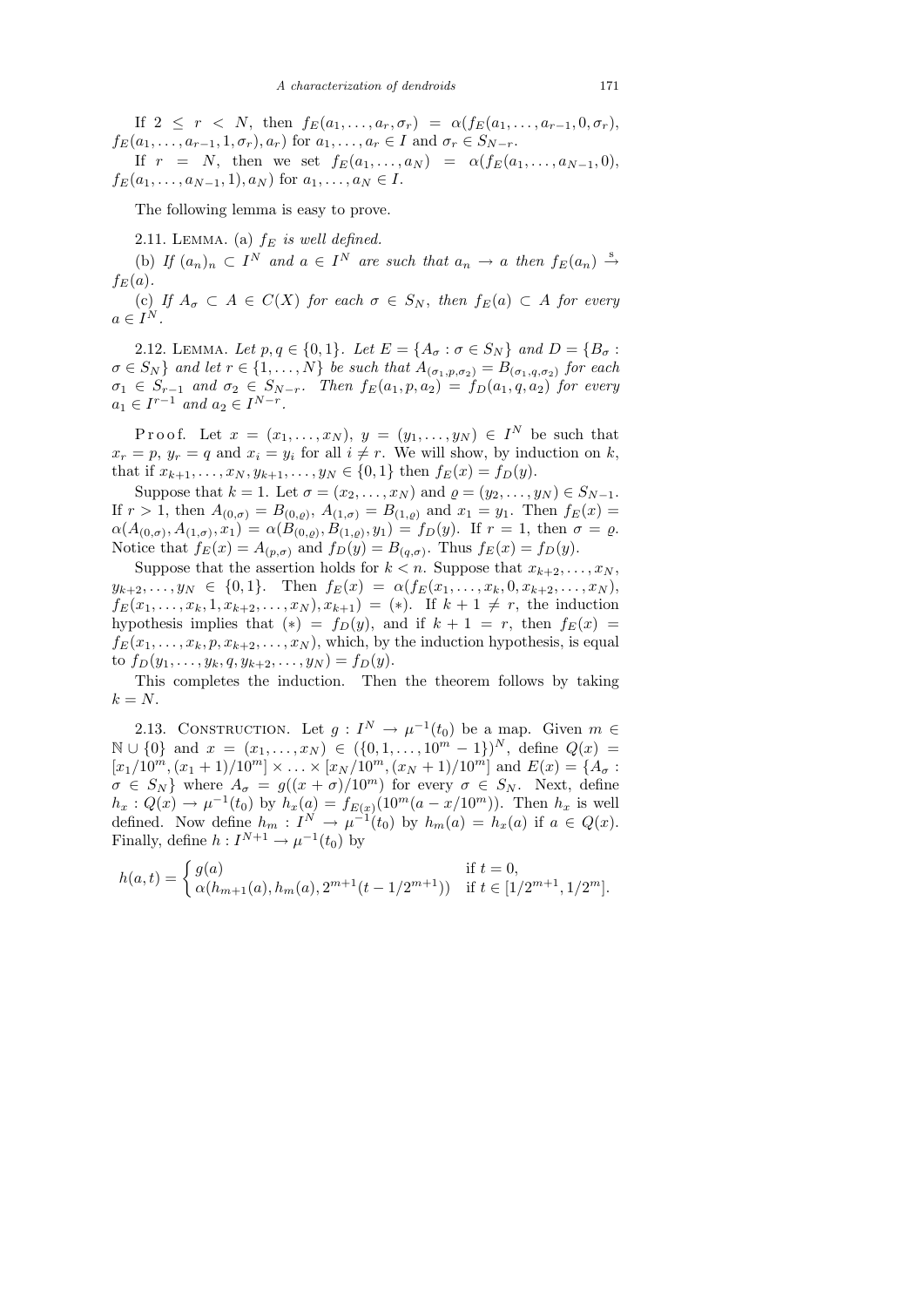If  $2 \leq r \leq N$ , then  $f_E(a_1, \ldots, a_r, \sigma_r) = \alpha(f_E(a_1, \ldots, a_{r-1}, 0, \sigma_r))$ ,  $f_E(a_1,\ldots,a_{r-1},1,\sigma_r),a_r)$  for  $a_1,\ldots,a_r\in I$  and  $\sigma_r\in S_{N-r}$ .

If  $r = N$ , then we set  $f_E(a_1, \ldots, a_N) = \alpha(f_E(a_1, \ldots, a_{N-1}, 0),$  $f_E(a_1, \ldots, a_{N-1}, 1), a_N$  for  $a_1, \ldots, a_N \in I$ .

The following lemma is easy to prove.

2.11. LEMMA. (a)  $f_E$  is well defined.

(b) If  $(a_n)_n \subset I^N$  and  $a \in I^N$  are such that  $a_n \to a$  then  $f_E(a_n) \stackrel{s}{\to}$  $f_E(a)$ .

(c) If  $A_{\sigma} \subset A \in C(X)$  for each  $\sigma \in S_N$ , then  $f_E(a) \subset A$  for every  $a \in I^N$ .

2.12. LEMMA. Let  $p, q \in \{0, 1\}$ . Let  $E = \{A_{\sigma} : \sigma \in S_N\}$  and  $D = \{B_{\sigma} : \sigma \in S_N\}$  $\sigma \in S_N$ } and let  $r \in \{1, \ldots, N\}$  be such that  $A_{(\sigma_1, p, \sigma_2)} = B_{(\sigma_1, q, \sigma_2)}$  for each  $\sigma_1 \in S_{r-1}$  and  $\sigma_2 \in S_{N-r}$ . Then  $f_E(a_1, p, a_2) = f_D(a_1, q, a_2)$  for every  $a_1 \in I^{r-1}$  and  $a_2 \in I^{N-r}$ .

Proof. Let  $x = (x_1, \ldots, x_N), y = (y_1, \ldots, y_N) \in I^N$  be such that  $x_r = p, y_r = q$  and  $x_i = y_i$  for all  $i \neq r$ . We will show, by induction on k, that if  $x_{k+1}, \ldots, x_N, y_{k+1}, \ldots, y_N \in \{0, 1\}$  then  $f_E(x) = f_D(y)$ .

Suppose that  $k = 1$ . Let  $\sigma = (x_2, \ldots, x_N)$  and  $\varrho = (y_2, \ldots, y_N) \in S_{N-1}$ . If  $r > 1$ , then  $A_{(0,\sigma)} = B_{(0,\varrho)}$ ,  $A_{(1,\sigma)} = B_{(1,\varrho)}$  and  $x_1 = y_1$ . Then  $f_E(x) =$  $\alpha(A_{(0,\sigma)},A_{(1,\sigma)},x_1)=\alpha(B_{(0,\varrho)},B_{(1,\varrho)},y_1)=f_D(y).$  If  $r=1$ , then  $\sigma=\varrho$ . Notice that  $f_E(x) = A_{(p,\sigma)}$  and  $f_D(y) = B_{(q,\sigma)}$ . Thus  $f_E(x) = f_D(y)$ .

Suppose that the assertion holds for  $k < n$ . Suppose that  $x_{k+2}, \ldots, x_N$ ,  $y_{k+2}, \ldots, y_N \in \{0, 1\}.$  Then  $f_E(x) = \alpha(f_E(x_1, \ldots, x_k, 0, x_{k+2}, \ldots, x_N)).$  $f_E(x_1, \ldots, x_k, 1, x_{k+2}, \ldots, x_N), x_{k+1}) = (*).$  If  $k+1 \neq r$ , the induction hypothesis implies that  $(*) = f_D(y)$ , and if  $k + 1 = r$ , then  $f_E(x) =$  $f_E(x_1, \ldots, x_k, p, x_{k+2}, \ldots, x_N)$ , which, by the induction hypothesis, is equal to  $f_D(y_1, \ldots, y_k, q, y_{k+2}, \ldots, y_N) = f_D(y)$ .

This completes the induction. Then the theorem follows by taking  $k = N$ .

2.13. CONSTRUCTION. Let  $g: I^N \to \mu^{-1}(t_0)$  be a map. Given  $m \in$  $\mathbb{N} \cup \{0\}$  and  $x = (x_1, \ldots, x_N) \in (\{0, 1, \ldots, 10^{m} - 1\})^N$ , define  $Q(x) =$  $[x_1/10^m,(x_1+1)/10^m] \times \ldots \times [x_N/10^m,(x_N+1)/10^m]$  and  $E(x) = \{A_\sigma :$  $\sigma \in S_N$  where  $A_{\sigma} = g((x + \sigma)/10^m)$  for every  $\sigma \in S_N$ . Next, define  $h_x: Q(x) \to \mu^{-1}(t_0)$  by  $h_x(a) = f_{E(x)}(10^m(a - x/10^m))$ . Then  $h_x$  is well defined. Now define  $h_m: I^N \to \mu^{-1}(t_0)$  by  $h_m(a) = h_x(a)$  if  $a \in Q(x)$ . Finally, define  $h: I^{N+1} \to \mu^{-1}(t_0)$  by

$$
h(a,t) = \begin{cases} g(a) & \text{if } t = 0, \\ \alpha(h_{m+1}(a), h_m(a), 2^{m+1}(t-1/2^{m+1})) & \text{if } t \in [1/2^{m+1}, 1/2^m]. \end{cases}
$$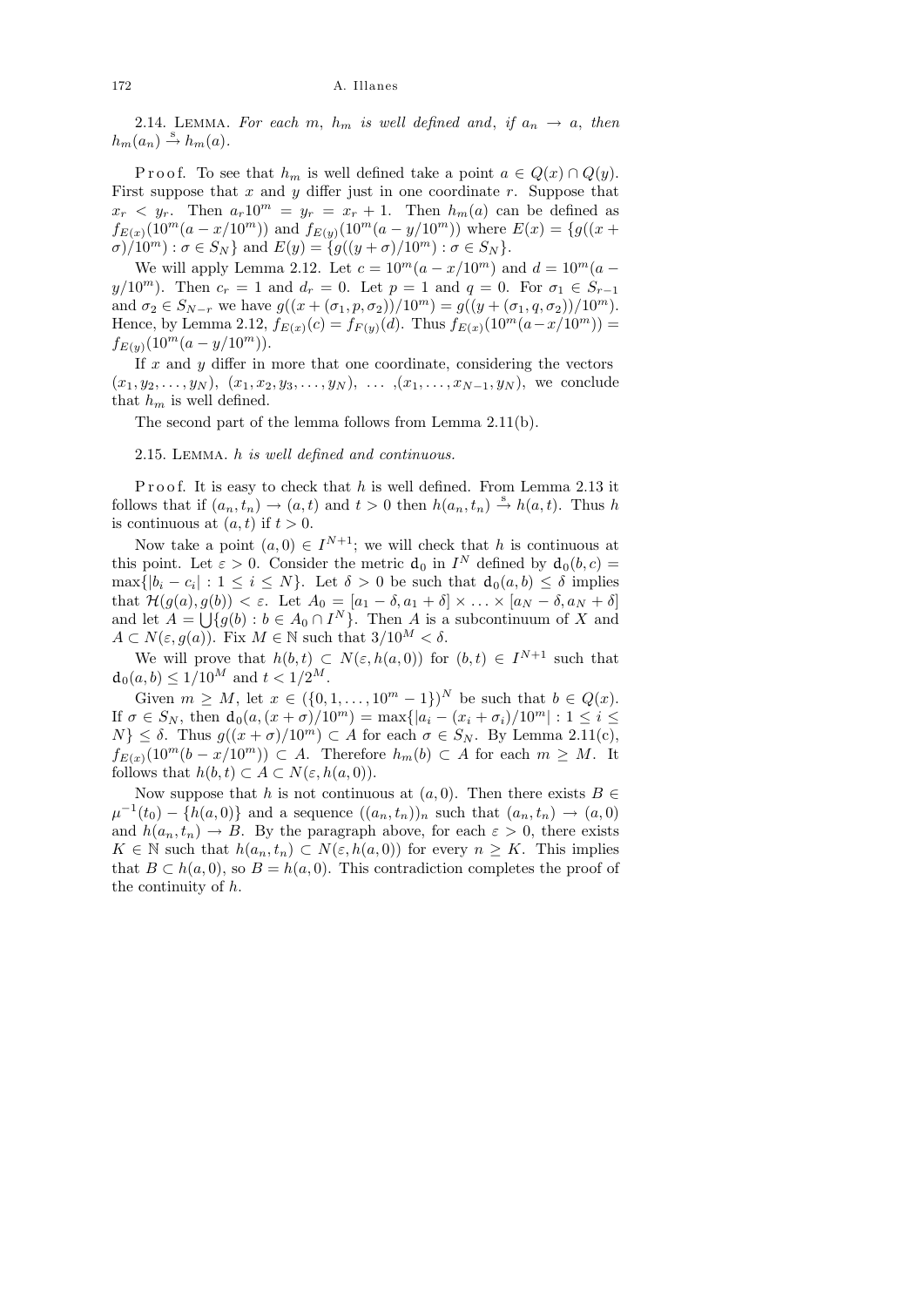### 172 A. Illanes

2.14. LEMMA. For each m,  $h_m$  is well defined and, if  $a_n \rightarrow a$ , then  $h_m(a_n) \stackrel{s}{\rightarrow} h_m(a)$ .

P r o o f. To see that  $h_m$  is well defined take a point  $a \in Q(x) \cap Q(y)$ . First suppose that  $x$  and  $y$  differ just in one coordinate  $r$ . Suppose that  $x_r \leq y_r$ . Then  $a_r 10^m = y_r = x_r + 1$ . Then  $h_m(a)$  can be defined as  $f_{E(x)}(10^m(a-x/10^m))$  and  $f_{E(y)}(10^m(a-y/10^m))$  where  $E(x) = \{g((x+y)/10^m)\}$  $\sigma$ /10<sup>m</sup>) :  $\sigma \in S_N$  and  $E(y) = \{g((y + \sigma)/10^m) : \sigma \in S_N\}.$ 

We will apply Lemma 2.12. Let  $c = 10^m(a - x/10^m)$  and  $d = 10^m(a - x/10^m)$  $y/10^m$ ). Then  $c_r = 1$  and  $d_r = 0$ . Let  $p = 1$  and  $q = 0$ . For  $\sigma_1 \in S_{r-1}$ and  $\sigma_2 \in S_{N-r}$  we have  $g((x+(\sigma_1, p, \sigma_2))/10^m) = g((y+(\sigma_1, q, \sigma_2))/10^m)$ . Hence, by Lemma 2.12,  $f_{E(x)}(c) = f_{F(y)}(d)$ . Thus  $f_{E(x)}(10^m(a-x/10^m))$  =  $f_{E(y)}(10^m(a-y/10^m)).$ 

If  $x$  and  $y$  differ in more that one coordinate, considering the vectors  $(x_1, y_2, \ldots, y_N), (x_1, x_2, y_3, \ldots, y_N), \ldots, (x_1, \ldots, x_{N-1}, y_N),$  we conclude that  $h_m$  is well defined.

The second part of the lemma follows from Lemma 2.11(b).

2.15. Lemma. h is well defined and continuous.

Proof. It is easy to check that h is well defined. From Lemma 2.13 it follows that if  $(a_n, t_n) \to (a, t)$  and  $t > 0$  then  $h(a_n, t_n) \stackrel{s}{\to} h(a, t)$ . Thus h is continuous at  $(a, t)$  if  $t > 0$ .

Now take a point  $(a, 0) \in I^{N+1}$ ; we will check that h is continuous at this point. Let  $\varepsilon > 0$ . Consider the metric  $d_0$  in  $I^N$  defined by  $d_0(b, c) =$  $\max\{|b_i - c_i| : 1 \le i \le N\}$ . Let  $\delta > 0$  be such that  $d_0(a, b) \le \delta$  implies that  $\mathcal{H}(g(a), g(b)) < \varepsilon$ . Let  $A_0 = [a_1 - \delta, a_1 + \delta] \times \ldots \times [a_N - \delta, a_N + \delta]$ and let  $A = \bigcup \{ g(b) : b \in A_0 \cap I^N \}$ . Then A is a subcontinuum of X and  $A \subset N(\varepsilon, g(a))$ . Fix  $M \in \mathbb{N}$  such that  $3/10^M < \delta$ .

We will prove that  $h(b, t) \subset N(\varepsilon, h(a, 0))$  for  $(b, t) \in I^{N+1}$  such that  $d_0(a, b) \leq 1/10^M$  and  $t < 1/2^M$ .

Given  $m \geq M$ , let  $x \in (\{0, 1, ..., 10^m - 1\})^N$  be such that  $b \in Q(x)$ . If  $\sigma \in S_N$ , then  $d_0(a,(x + \sigma)/10^m) = \max\{|a_i - (x_i + \sigma_i)/10^m| : 1 \le i \le n\}$  $N\}\leq \delta$ . Thus  $g((x+\sigma)/10^m) \subset A$  for each  $\sigma \in S_N$ . By Lemma 2.11(c),  $f_{E(x)}(10^m(b-x/10^m)) \subset A$ . Therefore  $h_m(b) \subset A$  for each  $m \geq M$ . It follows that  $h(b, t) \subset A \subset N(\varepsilon, h(a, 0)).$ 

Now suppose that h is not continuous at  $(a, 0)$ . Then there exists  $B \in$  $\mu^{-1}(t_0) - \{h(a, 0)\}\$ and a sequence  $((a_n, t_n))_n$  such that  $(a_n, t_n) \to (a, 0)\}$ and  $h(a_n, t_n) \to B$ . By the paragraph above, for each  $\varepsilon > 0$ , there exists  $K \in \mathbb{N}$  such that  $h(a_n, t_n) \subset N(\varepsilon, h(a, 0))$  for every  $n \geq K$ . This implies that  $B \subset h(a, 0)$ , so  $B = h(a, 0)$ . This contradiction completes the proof of the continuity of h.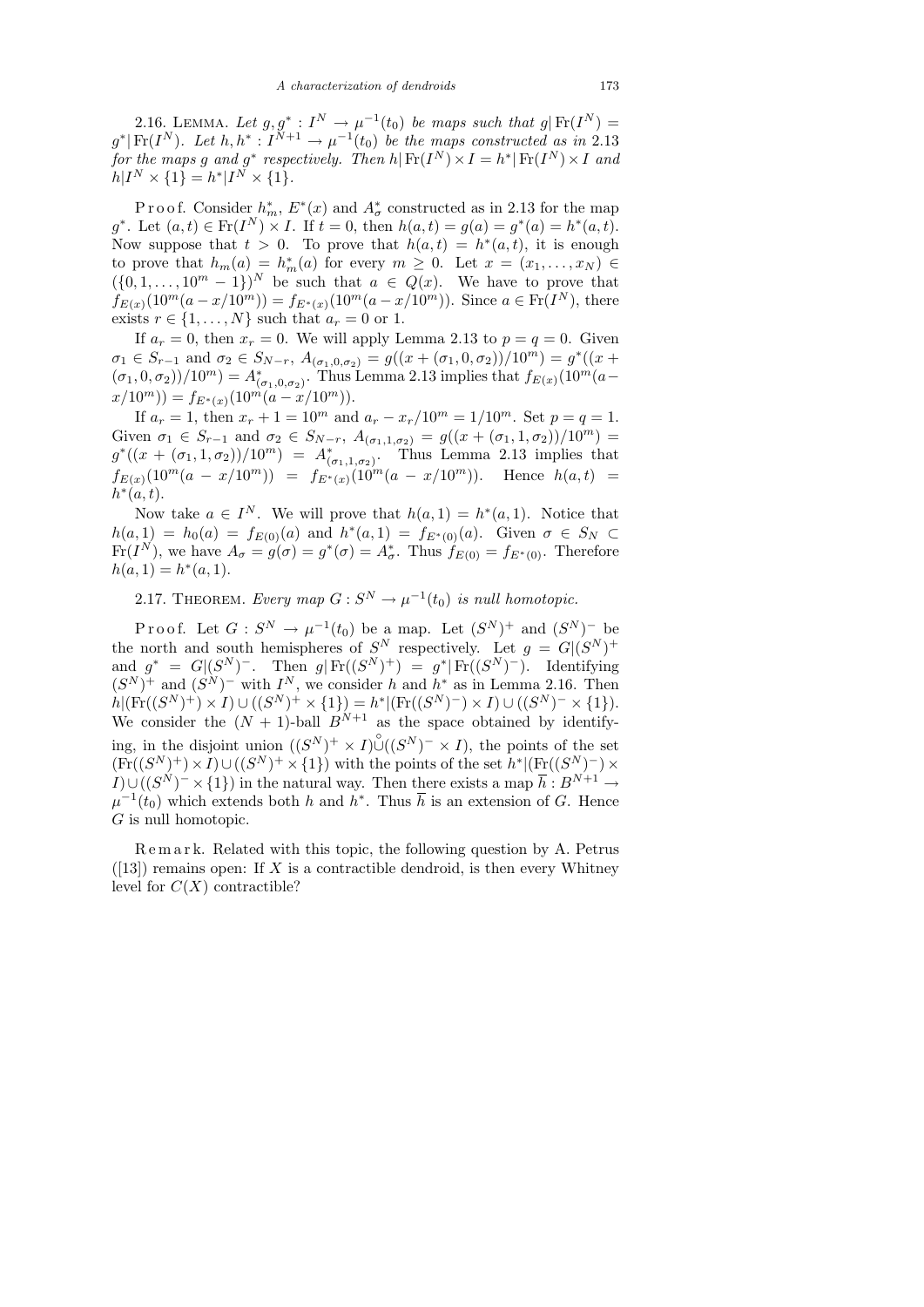2.16. LEMMA. Let  $g, g^* : I^N \to \mu^{-1}(t_0)$  be maps such that  $g | Fr(I^N) =$  $g^*$ |Fr(I<sup>N</sup>). Let  $h, h^*: I^{N+1} \to \mu^{-1}(t_0)$  be the maps constructed as in 2.13 for the maps g and g<sup>\*</sup> respectively. Then  $h | Fr(I^N) \times I = h^* | Fr(I^N) \times I$  and  $h|I^N \times \{1\} = h^*|I^N \times \{1\}.$ 

Proof. Consider  $h_m^*$ ,  $E^*(x)$  and  $A^*_{\sigma}$  constructed as in 2.13 for the map  $g^*$ . Let  $(a,t) \in Fr(I^N) \times I$ . If  $t = 0$ , then  $h(a,t) = g(a) = g^*(a) = h^*(a,t)$ . Now suppose that  $t > 0$ . To prove that  $h(a, t) = h^*(a, t)$ , it is enough to prove that  $h_m(a) = h_m^*(a)$  for every  $m \geq 0$ . Let  $x = (x_1, \ldots, x_N) \in$  $({0, 1, \ldots, 10^m - 1})^N$  be such that  $a \in Q(x)$ . We have to prove that  $f_{E(x)}(10^m(a-x/10^m)) = f_{E^*(x)}(10^m(a-x/10^m))$ . Since  $a \in Fr(I^N)$ , there exists  $r \in \{1, \ldots, N\}$  such that  $a_r = 0$  or 1.

If  $a_r = 0$ , then  $x_r = 0$ . We will apply Lemma 2.13 to  $p = q = 0$ . Given  $\sigma_1 \in S_{r-1}$  and  $\sigma_2 \in S_{N-r}$ ,  $A_{(\sigma_1, 0, \sigma_2)} = g((x + (\sigma_1, 0, \sigma_2))/10^m) = g^*((x +$  $(\sigma_1, 0, \sigma_2)$ )/10<sup>m</sup> $) = A^*_{(\sigma_1, 0, \sigma_2)}$ . Thus Lemma 2.13 implies that  $f_{E(x)}(10^m(a$  $x/10^m$ )) =  $f_{E^*(x)}(10^m(a-x/10^m)).$ 

If  $a_r = 1$ , then  $x_r + 1 = 10^m$  and  $a_r - x_r/10^m = 1/10^m$ . Set  $p = q = 1$ . Given  $\sigma_1 \in S_{r-1}$  and  $\sigma_2 \in S_{N-r}$ ,  $A_{(\sigma_1,1,\sigma_2)} = g((x+(\sigma_1,1,\sigma_2))/10^m) =$  $g^*((x + (\sigma_1, 1, \sigma_2))/10^m) = A^*_{(\sigma_1, 1, \sigma_2)}$ . Thus Lemma 2.13 implies that  $f_{E(x)}(10^m(a-x/10^m)) = f_{E^*(x)}(10^m(a-x/10^m))$ . Hence  $h(a,t)$  =  $h^*(a,t)$ .

Now take  $a \in I^N$ . We will prove that  $h(a,1) = h^*(a,1)$ . Notice that  $h(a, 1) = h_0(a) = f_{E(0)}(a)$  and  $h^*(a, 1) = f_{E^*(0)}(a)$ . Given  $\sigma \in S_N \subset$  $\text{Fr}(I^N)$ , we have  $A_{\sigma} = g(\sigma) = g^*(\sigma) = A_{\sigma}^*$ . Thus  $f_{E(0)} = f_{E^*(0)}$ . Therefore  $h(a, 1) = h^*(a, 1).$ 

2.17. THEOREM. Every map  $G: S^N \to \mu^{-1}(t_0)$  is null homotopic.

Proof. Let  $G: S^N \to \mu^{-1}(t_0)$  be a map. Let  $(S^N)^+$  and  $(S^N)^-$  be the north and south hemispheres of  $S^N$  respectively. Let  $g = G|(S^N)^+$ and  $g^* = G|(S^N)^-$ . Then  $g|\text{Fr}((S^N)^+) = g^*|\text{Fr}((S^N)^-)$ . Identifying  $(S^N)^+$  and  $(S^N)^-$  with  $I^N$ , we consider h and  $h^*$  as in Lemma 2.16. Then  $h|(\mathrm{Fr}((S^N)^+) \times I) \cup ((S^N)^+ \times \{1\}) = h^*|(\mathrm{Fr}((S^N)^-) \times I) \cup ((S^N)^- \times \{1\}).$ We consider the  $(N + 1)$ -ball  $B^{N+1}$  as the space obtained by identifying, in the disjoint union  $((S^N)^+ \times I) \overset{\circ}{\cup} ((S^N)^- \times I)$ , the points of the set  $(\text{Fr}((S^N)^+) \times I) \cup ((S^N)^+ \times \{1\})$  with the points of the set  $h^* | (\text{Fr}((S^N)^-) \times$  $I\cup ((S^N)^-\times\{1\})$  in the natural way. Then there exists a map  $\bar{h}:B^{N+1}\to$  $\mu^{-1}(t_0)$  which extends both h and h<sup>\*</sup>. Thus  $\bar{h}$  is an extension of G. Hence G is null homotopic.

R e m a r k. Related with this topic, the following question by A. Petrus  $([13])$  remains open: If X is a contractible dendroid, is then every Whitney level for  $C(X)$  contractible?